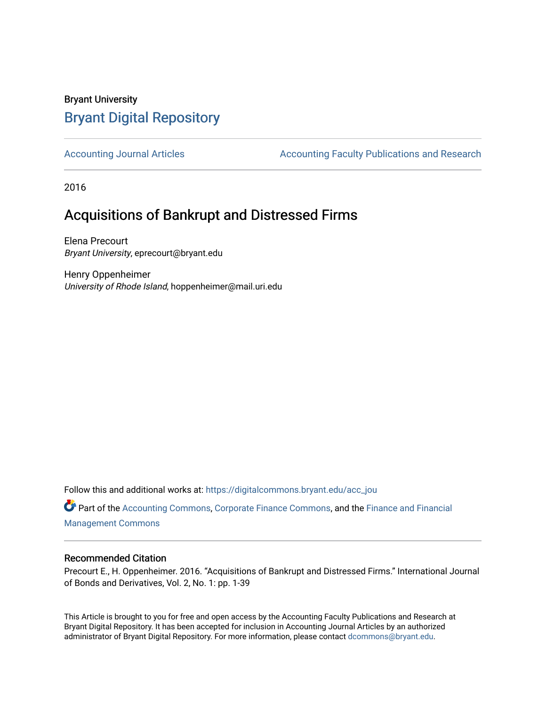# Bryant University [Bryant Digital Repository](https://digitalcommons.bryant.edu/)

[Accounting Journal Articles](https://digitalcommons.bryant.edu/acc_jou) **Accounting Faculty Publications and Research** Accounting Faculty Publications and Research

2016

# Acquisitions of Bankrupt and Distressed Firms

Elena Precourt Bryant University, eprecourt@bryant.edu

Henry Oppenheimer University of Rhode Island, hoppenheimer@mail.uri.edu

Follow this and additional works at: [https://digitalcommons.bryant.edu/acc\\_jou](https://digitalcommons.bryant.edu/acc_jou?utm_source=digitalcommons.bryant.edu%2Facc_jou%2F113&utm_medium=PDF&utm_campaign=PDFCoverPages)

Part of the [Accounting Commons](http://network.bepress.com/hgg/discipline/625?utm_source=digitalcommons.bryant.edu%2Facc_jou%2F113&utm_medium=PDF&utm_campaign=PDFCoverPages), [Corporate Finance Commons,](http://network.bepress.com/hgg/discipline/629?utm_source=digitalcommons.bryant.edu%2Facc_jou%2F113&utm_medium=PDF&utm_campaign=PDFCoverPages) and the [Finance and Financial](http://network.bepress.com/hgg/discipline/631?utm_source=digitalcommons.bryant.edu%2Facc_jou%2F113&utm_medium=PDF&utm_campaign=PDFCoverPages) [Management Commons](http://network.bepress.com/hgg/discipline/631?utm_source=digitalcommons.bryant.edu%2Facc_jou%2F113&utm_medium=PDF&utm_campaign=PDFCoverPages)

# Recommended Citation

Precourt E., H. Oppenheimer. 2016. "Acquisitions of Bankrupt and Distressed Firms." International Journal of Bonds and Derivatives, Vol. 2, No. 1: pp. 1-39

This Article is brought to you for free and open access by the Accounting Faculty Publications and Research at Bryant Digital Repository. It has been accepted for inclusion in Accounting Journal Articles by an authorized administrator of Bryant Digital Repository. For more information, please contact [dcommons@bryant.edu](mailto:dcommons@bryant.edu).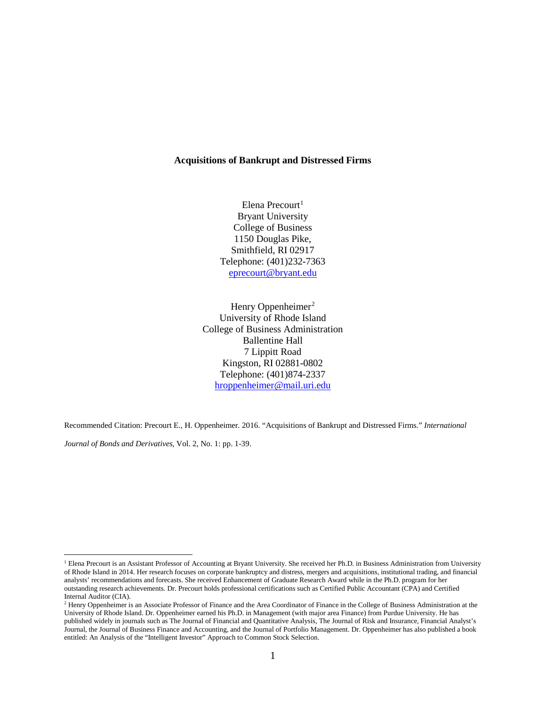#### **Acquisitions of Bankrupt and Distressed Firms**

Elena Precourt<sup>[1](#page-1-0)</sup> Bryant University College of Business 1150 Douglas Pike, Smithfield, RI 02917 Telephone: (401)232-7363 [eprecourt@bryant.edu](mailto:eprecourt@bryant.edu)

Henry Oppenheimer<sup>[2](#page-1-1)</sup> University of Rhode Island College of Business Administration Ballentine Hall 7 Lippitt Road Kingston, RI 02881-0802 Telephone: (401)874-2337 [hroppenheimer@mail.uri.edu](mailto:hroppenheimer@mail.uri.edu)

Recommended Citation: Precourt E., H. Oppenheimer. 2016. "Acquisitions of Bankrupt and Distressed Firms." *International* 

*Journal of Bonds and Derivatives*, Vol. 2, No. 1: pp. 1-39.

<span id="page-1-0"></span><sup>&</sup>lt;sup>1</sup> Elena Precourt is an Assistant Professor of Accounting at Bryant University. She received her Ph.D. in Business Administration from University of Rhode Island in 2014. Her research focuses on corporate bankruptcy and distress, mergers and acquisitions, institutional trading, and financial analysts' recommendations and forecasts. She received Enhancement of Graduate Research Award while in the Ph.D. program for her outstanding research achievements. Dr. Precourt holds professional certifications such as Certified Public Accountant (CPA) and Certified Internal Auditor (CIA).

<span id="page-1-1"></span><sup>&</sup>lt;sup>2</sup> Henry Oppenheimer is an Associate Professor of Finance and the Area Coordinator of Finance in the College of Business Administration at the University of Rhode Island. Dr. Oppenheimer earned his Ph.D. in Management (with major area Finance) from Purdue University. He has published widely in journals such as The Journal of Financial and Quantitative Analysis, The Journal of Risk and Insurance, Financial Analyst's Journal, the Journal of Business Finance and Accounting, and the Journal of Portfolio Management. Dr. Oppenheimer has also published a book entitled: An Analysis of the "Intelligent Investor" Approach to Common Stock Selection.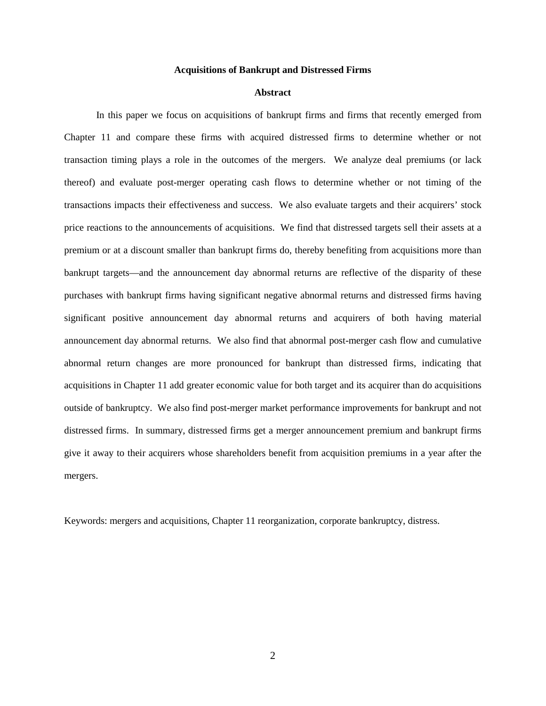#### **Acquisitions of Bankrupt and Distressed Firms**

## **Abstract**

In this paper we focus on acquisitions of bankrupt firms and firms that recently emerged from Chapter 11 and compare these firms with acquired distressed firms to determine whether or not transaction timing plays a role in the outcomes of the mergers. We analyze deal premiums (or lack thereof) and evaluate post-merger operating cash flows to determine whether or not timing of the transactions impacts their effectiveness and success. We also evaluate targets and their acquirers' stock price reactions to the announcements of acquisitions. We find that distressed targets sell their assets at a premium or at a discount smaller than bankrupt firms do, thereby benefiting from acquisitions more than bankrupt targets—and the announcement day abnormal returns are reflective of the disparity of these purchases with bankrupt firms having significant negative abnormal returns and distressed firms having significant positive announcement day abnormal returns and acquirers of both having material announcement day abnormal returns. We also find that abnormal post-merger cash flow and cumulative abnormal return changes are more pronounced for bankrupt than distressed firms, indicating that acquisitions in Chapter 11 add greater economic value for both target and its acquirer than do acquisitions outside of bankruptcy. We also find post-merger market performance improvements for bankrupt and not distressed firms. In summary, distressed firms get a merger announcement premium and bankrupt firms give it away to their acquirers whose shareholders benefit from acquisition premiums in a year after the mergers.

Keywords: mergers and acquisitions, Chapter 11 reorganization, corporate bankruptcy, distress.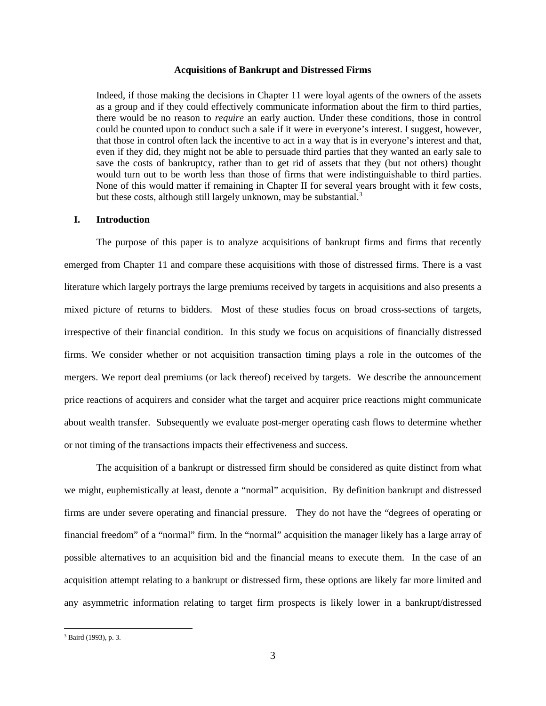#### **Acquisitions of Bankrupt and Distressed Firms**

Indeed, if those making the decisions in Chapter 11 were loyal agents of the owners of the assets as a group and if they could effectively communicate information about the firm to third parties, there would be no reason to *require* an early auction. Under these conditions, those in control could be counted upon to conduct such a sale if it were in everyone's interest. I suggest, however, that those in control often lack the incentive to act in a way that is in everyone's interest and that, even if they did, they might not be able to persuade third parties that they wanted an early sale to save the costs of bankruptcy, rather than to get rid of assets that they (but not others) thought would turn out to be worth less than those of firms that were indistinguishable to third parties. None of this would matter if remaining in Chapter II for several years brought with it few costs, but these costs, although still largely unknown, may be substantial.<sup>[3](#page-3-0)</sup>

#### **I. Introduction**

The purpose of this paper is to analyze acquisitions of bankrupt firms and firms that recently emerged from Chapter 11 and compare these acquisitions with those of distressed firms. There is a vast literature which largely portrays the large premiums received by targets in acquisitions and also presents a mixed picture of returns to bidders. Most of these studies focus on broad cross-sections of targets, irrespective of their financial condition. In this study we focus on acquisitions of financially distressed firms. We consider whether or not acquisition transaction timing plays a role in the outcomes of the mergers. We report deal premiums (or lack thereof) received by targets. We describe the announcement price reactions of acquirers and consider what the target and acquirer price reactions might communicate about wealth transfer. Subsequently we evaluate post-merger operating cash flows to determine whether or not timing of the transactions impacts their effectiveness and success.

The acquisition of a bankrupt or distressed firm should be considered as quite distinct from what we might, euphemistically at least, denote a "normal" acquisition. By definition bankrupt and distressed firms are under severe operating and financial pressure. They do not have the "degrees of operating or financial freedom" of a "normal" firm. In the "normal" acquisition the manager likely has a large array of possible alternatives to an acquisition bid and the financial means to execute them. In the case of an acquisition attempt relating to a bankrupt or distressed firm, these options are likely far more limited and any asymmetric information relating to target firm prospects is likely lower in a bankrupt/distressed

<span id="page-3-0"></span> <sup>3</sup> Baird (1993), p. 3.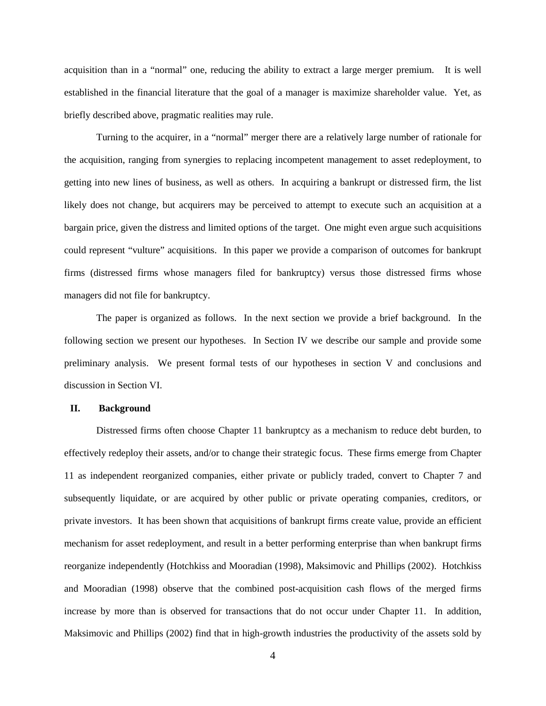acquisition than in a "normal" one, reducing the ability to extract a large merger premium. It is well established in the financial literature that the goal of a manager is maximize shareholder value. Yet, as briefly described above, pragmatic realities may rule.

Turning to the acquirer, in a "normal" merger there are a relatively large number of rationale for the acquisition, ranging from synergies to replacing incompetent management to asset redeployment, to getting into new lines of business, as well as others. In acquiring a bankrupt or distressed firm, the list likely does not change, but acquirers may be perceived to attempt to execute such an acquisition at a bargain price, given the distress and limited options of the target. One might even argue such acquisitions could represent "vulture" acquisitions. In this paper we provide a comparison of outcomes for bankrupt firms (distressed firms whose managers filed for bankruptcy) versus those distressed firms whose managers did not file for bankruptcy.

The paper is organized as follows. In the next section we provide a brief background. In the following section we present our hypotheses. In Section IV we describe our sample and provide some preliminary analysis. We present formal tests of our hypotheses in section V and conclusions and discussion in Section VI.

#### **II. Background**

Distressed firms often choose Chapter 11 bankruptcy as a mechanism to reduce debt burden, to effectively redeploy their assets, and/or to change their strategic focus. These firms emerge from Chapter 11 as independent reorganized companies, either private or publicly traded, convert to Chapter 7 and subsequently liquidate, or are acquired by other public or private operating companies, creditors, or private investors. It has been shown that acquisitions of bankrupt firms create value, provide an efficient mechanism for asset redeployment, and result in a better performing enterprise than when bankrupt firms reorganize independently (Hotchkiss and Mooradian (1998), Maksimovic and Phillips (2002). Hotchkiss and Mooradian (1998) observe that the combined post-acquisition cash flows of the merged firms increase by more than is observed for transactions that do not occur under Chapter 11. In addition, Maksimovic and Phillips (2002) find that in high-growth industries the productivity of the assets sold by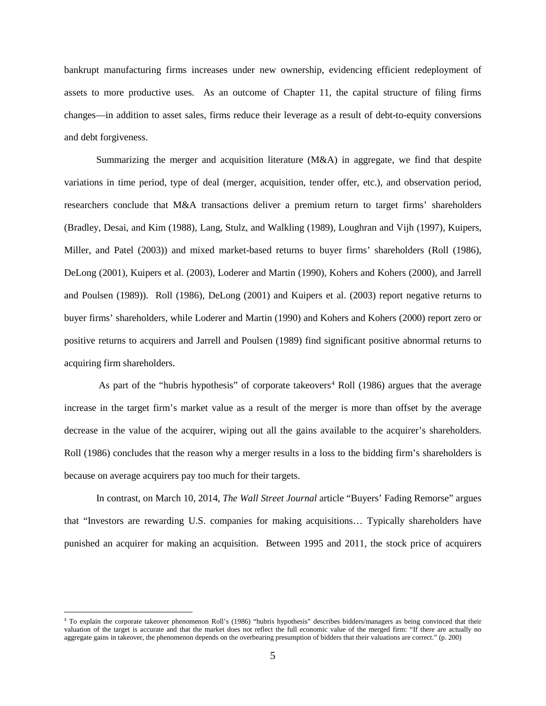bankrupt manufacturing firms increases under new ownership, evidencing efficient redeployment of assets to more productive uses. As an outcome of Chapter 11, the capital structure of filing firms changes—in addition to asset sales, firms reduce their leverage as a result of debt-to-equity conversions and debt forgiveness.

Summarizing the merger and acquisition literature (M&A) in aggregate, we find that despite variations in time period, type of deal (merger, acquisition, tender offer, etc.), and observation period, researchers conclude that M&A transactions deliver a premium return to target firms' shareholders (Bradley, Desai, and Kim (1988), Lang, Stulz, and Walkling (1989), Loughran and Vijh (1997), Kuipers, Miller, and Patel (2003)) and mixed market-based returns to buyer firms' shareholders (Roll (1986), DeLong (2001), Kuipers et al. (2003), Loderer and Martin (1990), Kohers and Kohers (2000), and Jarrell and Poulsen (1989)). Roll (1986), DeLong (2001) and Kuipers et al. (2003) report negative returns to buyer firms' shareholders, while Loderer and Martin (1990) and Kohers and Kohers (2000) report zero or positive returns to acquirers and Jarrell and Poulsen (1989) find significant positive abnormal returns to acquiring firm shareholders.

As part of the "hubris hypothesis" of corporate takeovers<sup>[4](#page-5-0)</sup> Roll (1986) argues that the average increase in the target firm's market value as a result of the merger is more than offset by the average decrease in the value of the acquirer, wiping out all the gains available to the acquirer's shareholders. Roll (1986) concludes that the reason why a merger results in a loss to the bidding firm's shareholders is because on average acquirers pay too much for their targets.

In contrast, on March 10, 2014, *The Wall Street Journal* article "Buyers' Fading Remorse" argues that "Investors are rewarding U.S. companies for making acquisitions… Typically shareholders have punished an acquirer for making an acquisition. Between 1995 and 2011, the stock price of acquirers

<span id="page-5-0"></span> <sup>4</sup> To explain the corporate takeover phenomenon Roll's (1986) "hubris hypothesis" describes bidders/managers as being convinced that their valuation of the target is accurate and that the market does not reflect the full economic value of the merged firm: "If there are actually no aggregate gains in takeover, the phenomenon depends on the overbearing presumption of bidders that their valuations are correct." (p. 200)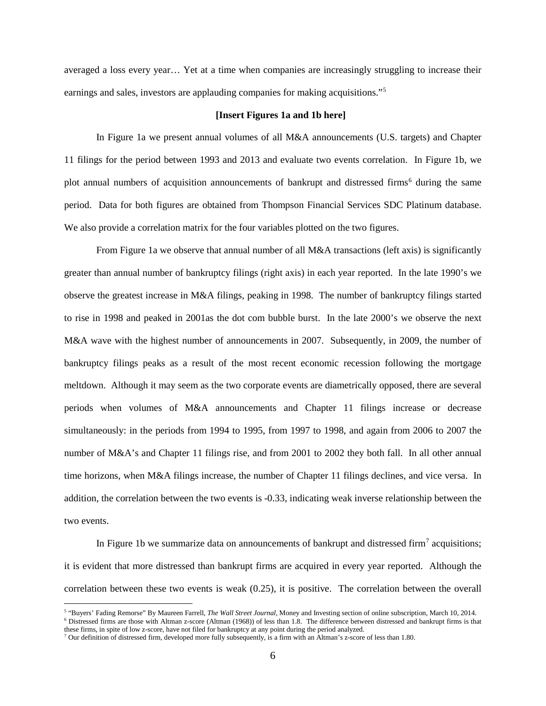averaged a loss every year… Yet at a time when companies are increasingly struggling to increase their earnings and sales, investors are applauding companies for making acquisitions."[5](#page-6-0)

#### **[Insert Figures 1a and 1b here]**

In Figure 1a we present annual volumes of all M&A announcements (U.S. targets) and Chapter 11 filings for the period between 1993 and 2013 and evaluate two events correlation. In Figure 1b, we plot annual numbers of acquisition announcements of bankrupt and distressed firms<sup>[6](#page-6-1)</sup> during the same period. Data for both figures are obtained from Thompson Financial Services SDC Platinum database. We also provide a correlation matrix for the four variables plotted on the two figures.

From Figure 1a we observe that annual number of all M&A transactions (left axis) is significantly greater than annual number of bankruptcy filings (right axis) in each year reported. In the late 1990's we observe the greatest increase in M&A filings, peaking in 1998. The number of bankruptcy filings started to rise in 1998 and peaked in 2001as the dot com bubble burst. In the late 2000's we observe the next M&A wave with the highest number of announcements in 2007. Subsequently, in 2009, the number of bankruptcy filings peaks as a result of the most recent economic recession following the mortgage meltdown. Although it may seem as the two corporate events are diametrically opposed, there are several periods when volumes of M&A announcements and Chapter 11 filings increase or decrease simultaneously: in the periods from 1994 to 1995, from 1997 to 1998, and again from 2006 to 2007 the number of M&A's and Chapter 11 filings rise, and from 2001 to 2002 they both fall. In all other annual time horizons, when M&A filings increase, the number of Chapter 11 filings declines, and vice versa. In addition, the correlation between the two events is -0.33, indicating weak inverse relationship between the two events.

In Figure 1b we summarize data on announcements of bankrupt and distressed firm<sup>[7](#page-6-2)</sup> acquisitions; it is evident that more distressed than bankrupt firms are acquired in every year reported. Although the correlation between these two events is weak (0.25), it is positive. The correlation between the overall

<span id="page-6-0"></span> <sup>5</sup> "Buyers' Fading Remorse" By Maureen Farrell, *The Wall Street Journal*, Money and Investing section of online subscription, March 10, 2014.

<span id="page-6-1"></span><sup>6</sup> Distressed firms are those with Altman z-score (Altman (1968)) of less than 1.8. The difference between distressed and bankrupt firms is that these firms, in spite of low z-score, have not filed for bankruptcy at any point during the period analyzed.

<span id="page-6-2"></span> $7$  Our definition of distressed firm, developed more fully subsequently, is a firm with an Altman's z-score of less than 1.80.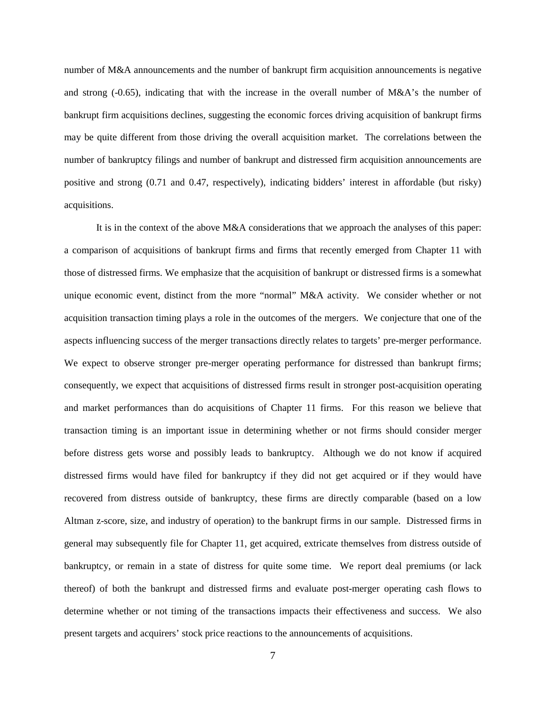number of M&A announcements and the number of bankrupt firm acquisition announcements is negative and strong  $(-0.65)$ , indicating that with the increase in the overall number of  $M&A$ 's the number of bankrupt firm acquisitions declines, suggesting the economic forces driving acquisition of bankrupt firms may be quite different from those driving the overall acquisition market. The correlations between the number of bankruptcy filings and number of bankrupt and distressed firm acquisition announcements are positive and strong (0.71 and 0.47, respectively), indicating bidders' interest in affordable (but risky) acquisitions.

It is in the context of the above M&A considerations that we approach the analyses of this paper: a comparison of acquisitions of bankrupt firms and firms that recently emerged from Chapter 11 with those of distressed firms. We emphasize that the acquisition of bankrupt or distressed firms is a somewhat unique economic event, distinct from the more "normal" M&A activity. We consider whether or not acquisition transaction timing plays a role in the outcomes of the mergers. We conjecture that one of the aspects influencing success of the merger transactions directly relates to targets' pre-merger performance. We expect to observe stronger pre-merger operating performance for distressed than bankrupt firms; consequently, we expect that acquisitions of distressed firms result in stronger post-acquisition operating and market performances than do acquisitions of Chapter 11 firms. For this reason we believe that transaction timing is an important issue in determining whether or not firms should consider merger before distress gets worse and possibly leads to bankruptcy. Although we do not know if acquired distressed firms would have filed for bankruptcy if they did not get acquired or if they would have recovered from distress outside of bankruptcy, these firms are directly comparable (based on a low Altman z-score, size, and industry of operation) to the bankrupt firms in our sample. Distressed firms in general may subsequently file for Chapter 11, get acquired, extricate themselves from distress outside of bankruptcy, or remain in a state of distress for quite some time. We report deal premiums (or lack thereof) of both the bankrupt and distressed firms and evaluate post-merger operating cash flows to determine whether or not timing of the transactions impacts their effectiveness and success. We also present targets and acquirers' stock price reactions to the announcements of acquisitions.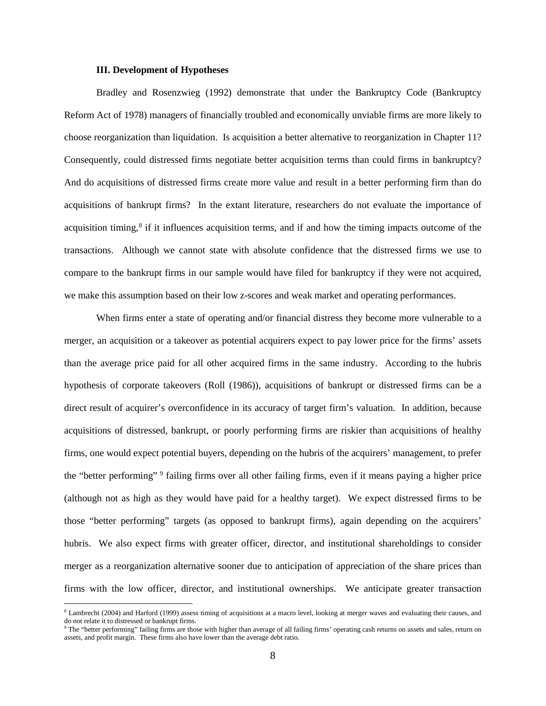#### **III. Development of Hypotheses**

Bradley and Rosenzwieg (1992) demonstrate that under the Bankruptcy Code (Bankruptcy Reform Act of 1978) managers of financially troubled and economically unviable firms are more likely to choose reorganization than liquidation. Is acquisition a better alternative to reorganization in Chapter 11? Consequently, could distressed firms negotiate better acquisition terms than could firms in bankruptcy? And do acquisitions of distressed firms create more value and result in a better performing firm than do acquisitions of bankrupt firms? In the extant literature, researchers do not evaluate the importance of acquisition timing, $\delta$  if it influences acquisition terms, and if and how the timing impacts outcome of the transactions. Although we cannot state with absolute confidence that the distressed firms we use to compare to the bankrupt firms in our sample would have filed for bankruptcy if they were not acquired, we make this assumption based on their low z-scores and weak market and operating performances.

When firms enter a state of operating and/or financial distress they become more vulnerable to a merger, an acquisition or a takeover as potential acquirers expect to pay lower price for the firms' assets than the average price paid for all other acquired firms in the same industry. According to the hubris hypothesis of corporate takeovers (Roll (1986)), acquisitions of bankrupt or distressed firms can be a direct result of acquirer's overconfidence in its accuracy of target firm's valuation. In addition, because acquisitions of distressed, bankrupt, or poorly performing firms are riskier than acquisitions of healthy firms, one would expect potential buyers, depending on the hubris of the acquirers' management, to prefer the "better performing" [9](#page-8-1) failing firms over all other failing firms, even if it means paying a higher price (although not as high as they would have paid for a healthy target). We expect distressed firms to be those "better performing" targets (as opposed to bankrupt firms), again depending on the acquirers' hubris. We also expect firms with greater officer, director, and institutional shareholdings to consider merger as a reorganization alternative sooner due to anticipation of appreciation of the share prices than firms with the low officer, director, and institutional ownerships. We anticipate greater transaction

<span id="page-8-0"></span> <sup>8</sup> Lambrecht (2004) and Harford (1999) assess timing of acquisitions at a macro level, looking at merger waves and evaluating their causes, and do not relate it to distressed or bankrupt firms.

<span id="page-8-1"></span> $9$  The "better performing" failing firms are those with higher than average of all failing firms' operating cash returns on assets and sales, return on assets, and profit margin. These firms also have lower than the average debt ratio.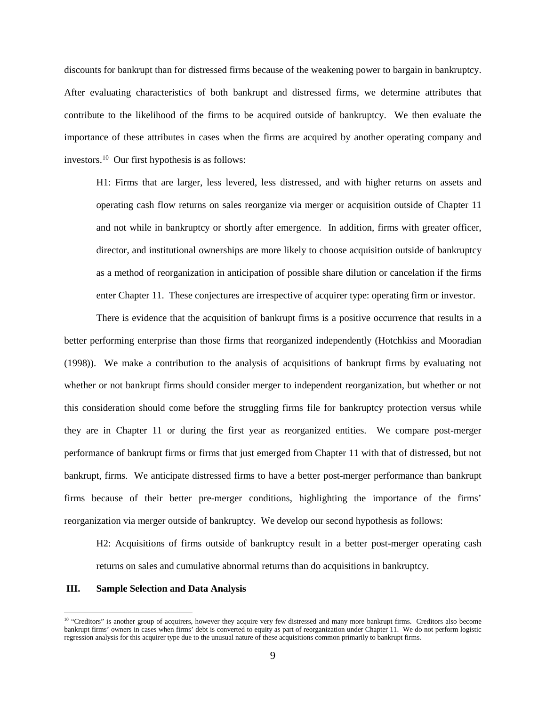discounts for bankrupt than for distressed firms because of the weakening power to bargain in bankruptcy. After evaluating characteristics of both bankrupt and distressed firms, we determine attributes that contribute to the likelihood of the firms to be acquired outside of bankruptcy. We then evaluate the importance of these attributes in cases when the firms are acquired by another operating company and investors.[10](#page-9-0) Our first hypothesis is as follows:

H1: Firms that are larger, less levered, less distressed, and with higher returns on assets and operating cash flow returns on sales reorganize via merger or acquisition outside of Chapter 11 and not while in bankruptcy or shortly after emergence. In addition, firms with greater officer, director, and institutional ownerships are more likely to choose acquisition outside of bankruptcy as a method of reorganization in anticipation of possible share dilution or cancelation if the firms enter Chapter 11. These conjectures are irrespective of acquirer type: operating firm or investor.

There is evidence that the acquisition of bankrupt firms is a positive occurrence that results in a better performing enterprise than those firms that reorganized independently (Hotchkiss and Mooradian (1998)). We make a contribution to the analysis of acquisitions of bankrupt firms by evaluating not whether or not bankrupt firms should consider merger to independent reorganization, but whether or not this consideration should come before the struggling firms file for bankruptcy protection versus while they are in Chapter 11 or during the first year as reorganized entities. We compare post-merger performance of bankrupt firms or firms that just emerged from Chapter 11 with that of distressed, but not bankrupt, firms. We anticipate distressed firms to have a better post-merger performance than bankrupt firms because of their better pre-merger conditions, highlighting the importance of the firms' reorganization via merger outside of bankruptcy. We develop our second hypothesis as follows:

H2: Acquisitions of firms outside of bankruptcy result in a better post-merger operating cash returns on sales and cumulative abnormal returns than do acquisitions in bankruptcy.

#### **III. Sample Selection and Data Analysis**

<span id="page-9-0"></span><sup>&</sup>lt;sup>10</sup> "Creditors" is another group of acquirers, however they acquire very few distressed and many more bankrupt firms. Creditors also become bankrupt firms' owners in cases when firms' debt is converted to equity as part of reorganization under Chapter 11. We do not perform logistic regression analysis for this acquirer type due to the unusual nature of these acquisitions common primarily to bankrupt firms.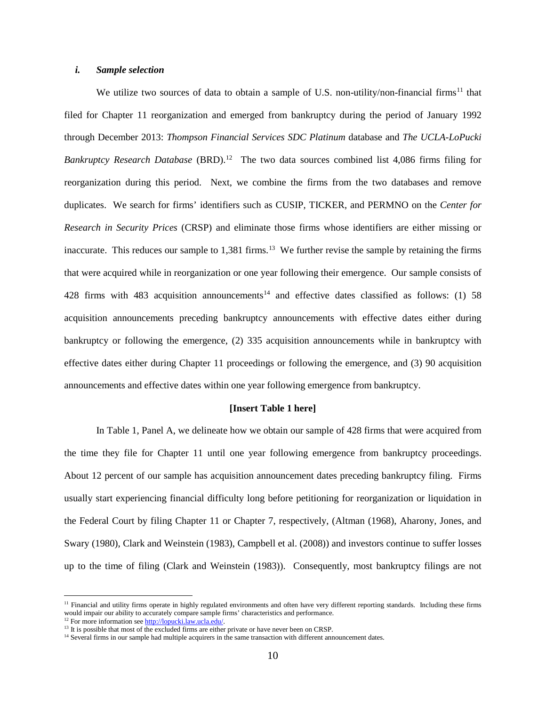## *i. Sample selection*

We utilize two sources of data to obtain a sample of U.S. non-utility/non-financial firms<sup>[11](#page-10-0)</sup> that filed for Chapter 11 reorganization and emerged from bankruptcy during the period of January 1992 through December 2013: *Thompson Financial Services SDC Platinum* database and *The UCLA-LoPucki Bankruptcy Research Database* (BRD).<sup>12</sup> The two data sources combined list 4,086 firms filing for reorganization during this period. Next, we combine the firms from the two databases and remove duplicates. We search for firms' identifiers such as CUSIP, TICKER, and PERMNO on the *Center for Research in Security Prices* (CRSP) and eliminate those firms whose identifiers are either missing or inaccurate. This reduces our sample to  $1,381$  firms.<sup>13</sup> We further revise the sample by retaining the firms that were acquired while in reorganization or one year following their emergence. Our sample consists of 428 firms with 483 acquisition announcements<sup>[14](#page-10-3)</sup> and effective dates classified as follows: (1) 58 acquisition announcements preceding bankruptcy announcements with effective dates either during bankruptcy or following the emergence, (2) 335 acquisition announcements while in bankruptcy with effective dates either during Chapter 11 proceedings or following the emergence, and (3) 90 acquisition announcements and effective dates within one year following emergence from bankruptcy.

#### **[Insert Table 1 here]**

In Table 1, Panel A, we delineate how we obtain our sample of 428 firms that were acquired from the time they file for Chapter 11 until one year following emergence from bankruptcy proceedings. About 12 percent of our sample has acquisition announcement dates preceding bankruptcy filing. Firms usually start experiencing financial difficulty long before petitioning for reorganization or liquidation in the Federal Court by filing Chapter 11 or Chapter 7, respectively, (Altman (1968), Aharony, Jones, and Swary (1980), Clark and Weinstein (1983), Campbell et al. (2008)) and investors continue to suffer losses up to the time of filing (Clark and Weinstein (1983)). Consequently, most bankruptcy filings are not

<span id="page-10-0"></span> $<sup>11</sup>$  Financial and utility firms operate in highly regulated environments and often have very different reporting standards. Including these firms</sup> would impair our ability to accurately compare sample firms' characteristics and performance.

<span id="page-10-1"></span><sup>&</sup>lt;sup>12</sup> For more information see  $\frac{http://lopucki.law.ucla.edu/}{http://lopucki.law.ucla.edu/}.$ <sup>13</sup> It is possible that most of the excluded firms are either private or have never been on CRSP.

<span id="page-10-3"></span><span id="page-10-2"></span><sup>&</sup>lt;sup>14</sup> Several firms in our sample had multiple acquirers in the same transaction with different announcement dates.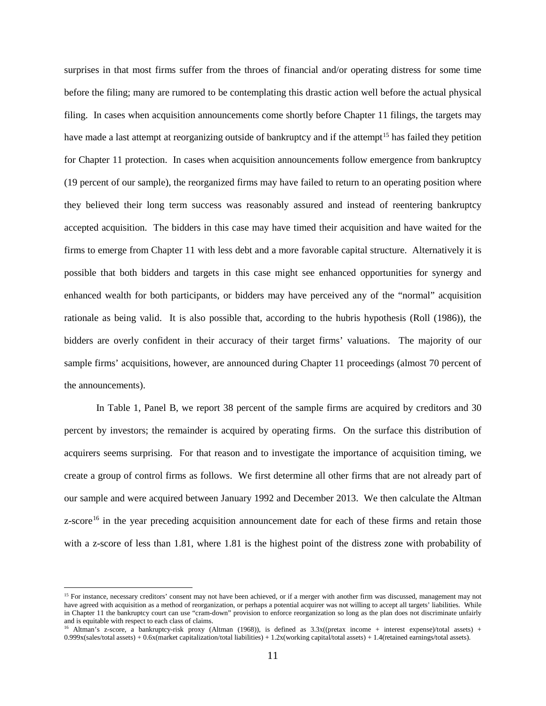surprises in that most firms suffer from the throes of financial and/or operating distress for some time before the filing; many are rumored to be contemplating this drastic action well before the actual physical filing. In cases when acquisition announcements come shortly before Chapter 11 filings, the targets may have made a last attempt at reorganizing outside of bankruptcy and if the attempt<sup>[15](#page-11-0)</sup> has failed they petition for Chapter 11 protection. In cases when acquisition announcements follow emergence from bankruptcy (19 percent of our sample), the reorganized firms may have failed to return to an operating position where they believed their long term success was reasonably assured and instead of reentering bankruptcy accepted acquisition. The bidders in this case may have timed their acquisition and have waited for the firms to emerge from Chapter 11 with less debt and a more favorable capital structure. Alternatively it is possible that both bidders and targets in this case might see enhanced opportunities for synergy and enhanced wealth for both participants, or bidders may have perceived any of the "normal" acquisition rationale as being valid. It is also possible that, according to the hubris hypothesis (Roll (1986)), the bidders are overly confident in their accuracy of their target firms' valuations. The majority of our sample firms' acquisitions, however, are announced during Chapter 11 proceedings (almost 70 percent of the announcements).

In Table 1, Panel B, we report 38 percent of the sample firms are acquired by creditors and 30 percent by investors; the remainder is acquired by operating firms. On the surface this distribution of acquirers seems surprising. For that reason and to investigate the importance of acquisition timing, we create a group of control firms as follows. We first determine all other firms that are not already part of our sample and were acquired between January 1992 and December 2013. We then calculate the Altman z-score<sup>[16](#page-11-1)</sup> in the year preceding acquisition announcement date for each of these firms and retain those with a z-score of less than 1.81, where 1.81 is the highest point of the distress zone with probability of

<span id="page-11-0"></span><sup>&</sup>lt;sup>15</sup> For instance, necessary creditors' consent may not have been achieved, or if a merger with another firm was discussed, management may not have agreed with acquisition as a method of reorganization, or perhaps a potential acquirer was not willing to accept all targets' liabilities. While in Chapter 11 the bankruptcy court can use "cram-down" provision to enforce reorganization so long as the plan does not discriminate unfairly and is equitable with respect to each class of claims.

<span id="page-11-1"></span><sup>&</sup>lt;sup>16</sup> Altman's z-score, a bankruptcy-risk proxy (Altman (1968)), is defined as 3.3x((pretax income + interest expense)/total assets) +  $0.999x$ (sales/total assets) + 0.6x(market capitalization/total liabilities) + 1.2x(working capital/total assets) + 1.4(retained earnings/total assets).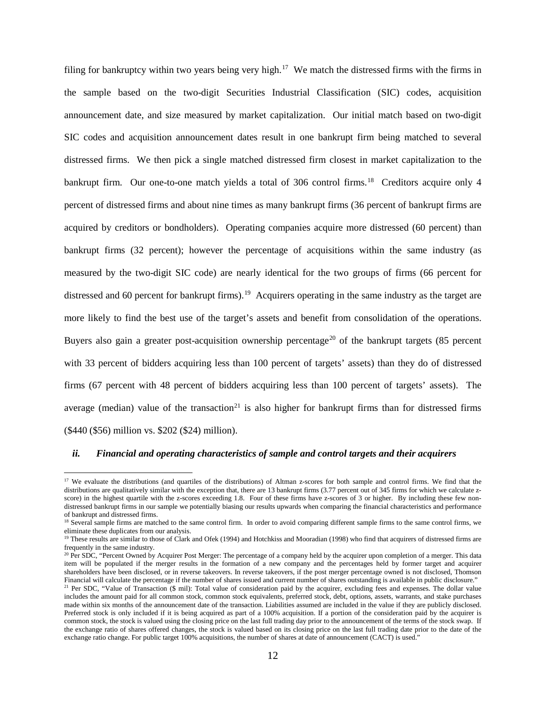filing for bankruptcy within two years being very high.<sup>[17](#page-12-0)</sup> We match the distressed firms with the firms in the sample based on the two-digit Securities Industrial Classification (SIC) codes, acquisition announcement date, and size measured by market capitalization. Our initial match based on two-digit SIC codes and acquisition announcement dates result in one bankrupt firm being matched to several distressed firms. We then pick a single matched distressed firm closest in market capitalization to the bankrupt firm. Our one-to-one match yields a total of 306 control firms.<sup>[18](#page-12-1)</sup> Creditors acquire only 4 percent of distressed firms and about nine times as many bankrupt firms (36 percent of bankrupt firms are acquired by creditors or bondholders). Operating companies acquire more distressed (60 percent) than bankrupt firms (32 percent); however the percentage of acquisitions within the same industry (as measured by the two-digit SIC code) are nearly identical for the two groups of firms (66 percent for distressed and 60 percent for bankrupt firms).<sup>[19](#page-12-2)</sup> Acquirers operating in the same industry as the target are more likely to find the best use of the target's assets and benefit from consolidation of the operations. Buyers also gain a greater post-acquisition ownership percentage<sup>[20](#page-12-3)</sup> of the bankrupt targets (85 percent with 33 percent of bidders acquiring less than 100 percent of targets' assets) than they do of distressed firms (67 percent with 48 percent of bidders acquiring less than 100 percent of targets' assets). The average (median) value of the transaction<sup>[21](#page-12-4)</sup> is also higher for bankrupt firms than for distressed firms (\$440 (\$56) million vs. \$202 (\$24) million).

#### *ii. Financial and operating characteristics of sample and control targets and their acquirers*

<span id="page-12-0"></span><sup>&</sup>lt;sup>17</sup> We evaluate the distributions (and quartiles of the distributions) of Altman z-scores for both sample and control firms. We find that the distributions are qualitatively similar with the exception that, there are 13 bankrupt firms (3.77 percent out of 345 firms for which we calculate zscore) in the highest quartile with the z-scores exceeding 1.8. Four of these firms have z-scores of 3 or higher. By including these few nondistressed bankrupt firms in our sample we potentially biasing our results upwards when comparing the financial characteristics and performance of bankrupt and distressed firms.

<span id="page-12-1"></span><sup>&</sup>lt;sup>18</sup> Several sample firms are matched to the same control firm. In order to avoid comparing different sample firms to the same control firms, we eliminate these duplicates from our analysis.

<span id="page-12-2"></span><sup>&</sup>lt;sup>19</sup> These results are similar to those of Clark and Ofek (1994) and Hotchkiss and Mooradian (1998) who find that acquirers of distressed firms are frequently in the same industry.

<span id="page-12-3"></span><sup>&</sup>lt;sup>20</sup> Per SDC, "Percent Owned by Acquirer Post Merger: The percentage of a company held by the acquirer upon completion of a merger. This data item will be populated if the merger results in the formation of a new company and the percentages held by former target and acquirer shareholders have been disclosed, or in reverse takeovers. In reverse takeovers, if the post merger percentage owned is not disclosed, Thomson Financial will calculate the percentage if the number of shares issued and current number of shares outstanding is available in public disclosure."

<span id="page-12-4"></span><sup>&</sup>lt;sup>21</sup> Per SDC, "Value of Transaction (\$ mil): Total value of consideration paid by the acquirer, excluding fees and expenses. The dollar value includes the amount paid for all common stock, common stock equivalents, preferred stock, debt, options, assets, warrants, and stake purchases made within six months of the announcement date of the transaction. Liabilities assumed are included in the value if they are publicly disclosed. Preferred stock is only included if it is being acquired as part of a 100% acquisition. If a portion of the consideration paid by the acquirer is common stock, the stock is valued using the closing price on the last full trading day prior to the announcement of the terms of the stock swap. If the exchange ratio of shares offered changes, the stock is valued based on its closing price on the last full trading date prior to the date of the exchange ratio change. For public target 100% acquisitions, the number of shares at date of announcement (CACT) is used."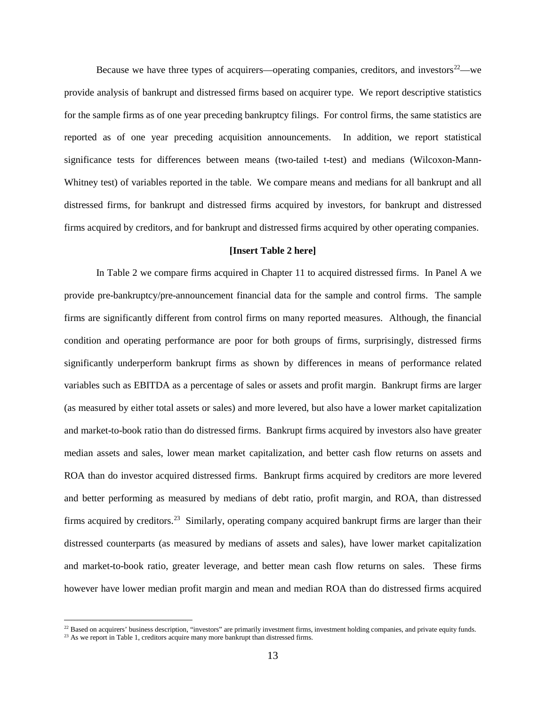Because we have three types of acquirers—operating companies, creditors, and investors<sup>[22](#page-13-0)</sup>—we provide analysis of bankrupt and distressed firms based on acquirer type. We report descriptive statistics for the sample firms as of one year preceding bankruptcy filings. For control firms, the same statistics are reported as of one year preceding acquisition announcements. In addition, we report statistical significance tests for differences between means (two-tailed t-test) and medians (Wilcoxon-Mann-Whitney test) of variables reported in the table. We compare means and medians for all bankrupt and all distressed firms, for bankrupt and distressed firms acquired by investors, for bankrupt and distressed firms acquired by creditors, and for bankrupt and distressed firms acquired by other operating companies.

# **[Insert Table 2 here]**

In Table 2 we compare firms acquired in Chapter 11 to acquired distressed firms. In Panel A we provide pre-bankruptcy/pre-announcement financial data for the sample and control firms. The sample firms are significantly different from control firms on many reported measures. Although, the financial condition and operating performance are poor for both groups of firms, surprisingly, distressed firms significantly underperform bankrupt firms as shown by differences in means of performance related variables such as EBITDA as a percentage of sales or assets and profit margin. Bankrupt firms are larger (as measured by either total assets or sales) and more levered, but also have a lower market capitalization and market-to-book ratio than do distressed firms. Bankrupt firms acquired by investors also have greater median assets and sales, lower mean market capitalization, and better cash flow returns on assets and ROA than do investor acquired distressed firms. Bankrupt firms acquired by creditors are more levered and better performing as measured by medians of debt ratio, profit margin, and ROA, than distressed firms acquired by creditors.[23](#page-13-1) Similarly, operating company acquired bankrupt firms are larger than their distressed counterparts (as measured by medians of assets and sales), have lower market capitalization and market-to-book ratio, greater leverage, and better mean cash flow returns on sales. These firms however have lower median profit margin and mean and median ROA than do distressed firms acquired

<span id="page-13-1"></span><span id="page-13-0"></span> $^{22}$  Based on acquirers' business description, "investors" are primarily investment firms, investment holding companies, and private equity funds. <sup>23</sup> As we report in Table 1, creditors acquire many more bankrupt than distressed firms.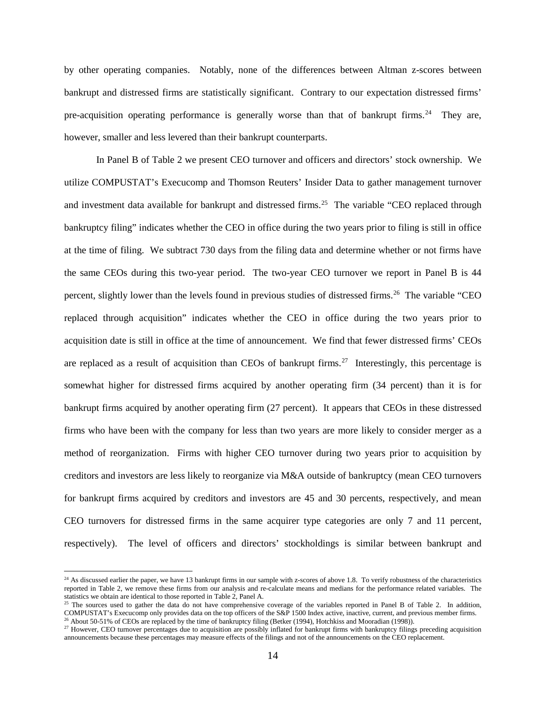by other operating companies. Notably, none of the differences between Altman z-scores between bankrupt and distressed firms are statistically significant. Contrary to our expectation distressed firms' pre-acquisition operating performance is generally worse than that of bankrupt firms.<sup>24</sup> They are, however, smaller and less levered than their bankrupt counterparts.

In Panel B of Table 2 we present CEO turnover and officers and directors' stock ownership. We utilize COMPUSTAT's Execucomp and Thomson Reuters' Insider Data to gather management turnover and investment data available for bankrupt and distressed firms. [25](#page-14-1) The variable "CEO replaced through bankruptcy filing" indicates whether the CEO in office during the two years prior to filing is still in office at the time of filing. We subtract 730 days from the filing data and determine whether or not firms have the same CEOs during this two-year period. The two-year CEO turnover we report in Panel B is 44 percent, slightly lower than the levels found in previous studies of distressed firms.<sup>[26](#page-14-2)</sup> The variable "CEO replaced through acquisition" indicates whether the CEO in office during the two years prior to acquisition date is still in office at the time of announcement. We find that fewer distressed firms' CEOs are replaced as a result of acquisition than CEOs of bankrupt firms.<sup>[27](#page-14-3)</sup> Interestingly, this percentage is somewhat higher for distressed firms acquired by another operating firm (34 percent) than it is for bankrupt firms acquired by another operating firm (27 percent). It appears that CEOs in these distressed firms who have been with the company for less than two years are more likely to consider merger as a method of reorganization. Firms with higher CEO turnover during two years prior to acquisition by creditors and investors are less likely to reorganize via M&A outside of bankruptcy (mean CEO turnovers for bankrupt firms acquired by creditors and investors are 45 and 30 percents, respectively, and mean CEO turnovers for distressed firms in the same acquirer type categories are only 7 and 11 percent, respectively). The level of officers and directors' stockholdings is similar between bankrupt and

<span id="page-14-0"></span> $24$  As discussed earlier the paper, we have 13 bankrupt firms in our sample with z-scores of above 1.8. To verify robustness of the characteristics reported in Table 2, we remove these firms from our analysis and re-calculate means and medians for the performance related variables. The statistics we obtain are identical to those reported in Table 2, Panel A.

<span id="page-14-1"></span><sup>&</sup>lt;sup>25</sup> The sources used to gather the data do not have comprehensive coverage of the variables reported in Panel B of Table 2. In addition, COMPUSTAT's Execucomp only provides data on the top officers of the S&P 1500 Index active, inactive, current, and previous member firms.  $^{26}$  About 50-51% of CEOs are replaced by the time of bankruptcy filing (Betker (1994), Hotchkiss and Mooradian (1998)).

<span id="page-14-3"></span><span id="page-14-2"></span><sup>&</sup>lt;sup>27</sup> However, CEO turnover percentages due to acquisition are possibly inflated for bankrupt firms with bankruptcy filings preceding acquisition announcements because these percentages may measure effects of the filings and not of the announcements on the CEO replacement.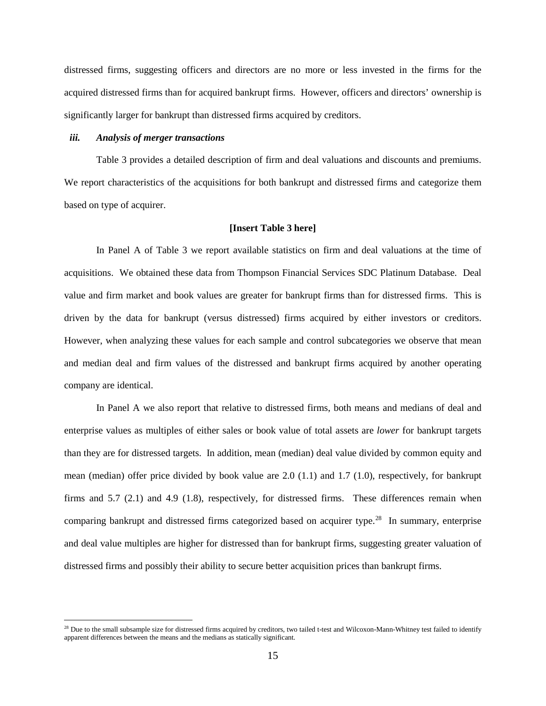distressed firms, suggesting officers and directors are no more or less invested in the firms for the acquired distressed firms than for acquired bankrupt firms. However, officers and directors' ownership is significantly larger for bankrupt than distressed firms acquired by creditors.

## *iii. Analysis of merger transactions*

Table 3 provides a detailed description of firm and deal valuations and discounts and premiums. We report characteristics of the acquisitions for both bankrupt and distressed firms and categorize them based on type of acquirer.

### **[Insert Table 3 here]**

In Panel A of Table 3 we report available statistics on firm and deal valuations at the time of acquisitions. We obtained these data from Thompson Financial Services SDC Platinum Database. Deal value and firm market and book values are greater for bankrupt firms than for distressed firms. This is driven by the data for bankrupt (versus distressed) firms acquired by either investors or creditors. However, when analyzing these values for each sample and control subcategories we observe that mean and median deal and firm values of the distressed and bankrupt firms acquired by another operating company are identical.

In Panel A we also report that relative to distressed firms, both means and medians of deal and enterprise values as multiples of either sales or book value of total assets are *lower* for bankrupt targets than they are for distressed targets. In addition, mean (median) deal value divided by common equity and mean (median) offer price divided by book value are 2.0 (1.1) and 1.7 (1.0), respectively, for bankrupt firms and 5.7 (2.1) and 4.9 (1.8), respectively, for distressed firms. These differences remain when comparing bankrupt and distressed firms categorized based on acquirer type.<sup>[28](#page-15-0)</sup> In summary, enterprise and deal value multiples are higher for distressed than for bankrupt firms, suggesting greater valuation of distressed firms and possibly their ability to secure better acquisition prices than bankrupt firms.

<span id="page-15-0"></span> $28$  Due to the small subsample size for distressed firms acquired by creditors, two tailed t-test and Wilcoxon-Mann-Whitney test failed to identify apparent differences between the means and the medians as statically significant.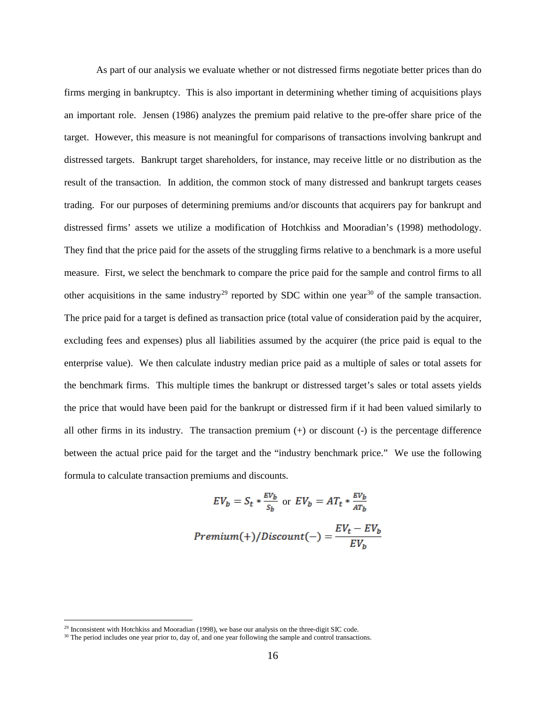As part of our analysis we evaluate whether or not distressed firms negotiate better prices than do firms merging in bankruptcy. This is also important in determining whether timing of acquisitions plays an important role. Jensen (1986) analyzes the premium paid relative to the pre-offer share price of the target. However, this measure is not meaningful for comparisons of transactions involving bankrupt and distressed targets. Bankrupt target shareholders, for instance, may receive little or no distribution as the result of the transaction. In addition, the common stock of many distressed and bankrupt targets ceases trading. For our purposes of determining premiums and/or discounts that acquirers pay for bankrupt and distressed firms' assets we utilize a modification of Hotchkiss and Mooradian's (1998) methodology. They find that the price paid for the assets of the struggling firms relative to a benchmark is a more useful measure. First, we select the benchmark to compare the price paid for the sample and control firms to all other acquisitions in the same industry<sup>29</sup> reported by SDC within one year<sup>[30](#page-16-1)</sup> of the sample transaction. The price paid for a target is defined as transaction price (total value of consideration paid by the acquirer, excluding fees and expenses) plus all liabilities assumed by the acquirer (the price paid is equal to the enterprise value). We then calculate industry median price paid as a multiple of sales or total assets for the benchmark firms. This multiple times the bankrupt or distressed target's sales or total assets yields the price that would have been paid for the bankrupt or distressed firm if it had been valued similarly to all other firms in its industry. The transaction premium (+) or discount (-) is the percentage difference between the actual price paid for the target and the "industry benchmark price." We use the following formula to calculate transaction premiums and discounts.

$$
EV_b = S_t * \frac{EV_b}{S_b} \text{ or } EV_b = AT_t * \frac{EV_b}{AT_b}
$$
  

$$
Premium(+) / Discount(-) = \frac{EV_t - EV_b}{EV_b}
$$

<span id="page-16-0"></span><sup>&</sup>lt;sup>29</sup> Inconsistent with Hotchkiss and Mooradian (1998), we base our analysis on the three-digit SIC code.

<span id="page-16-1"></span><sup>&</sup>lt;sup>30</sup> The period includes one year prior to, day of, and one year following the sample and control transactions.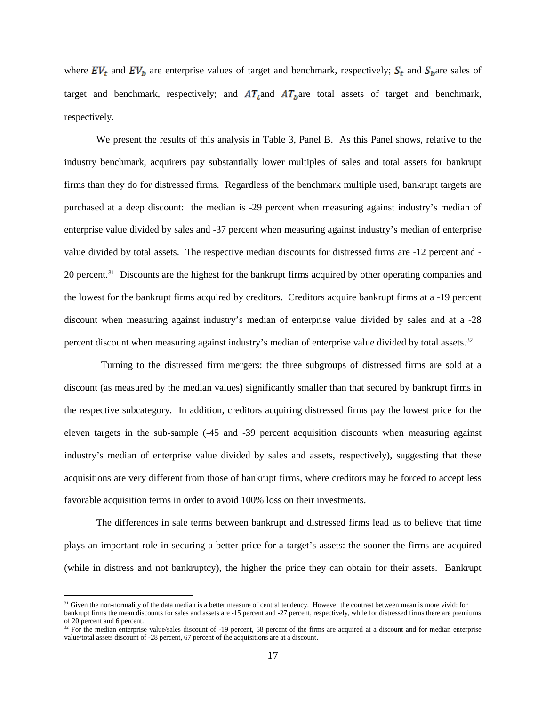where  $EV_t$  and  $EV_b$  are enterprise values of target and benchmark, respectively;  $S_t$  and  $S_b$  are sales of target and benchmark, respectively; and  $AT<sub>t</sub>$  and  $AT<sub>b</sub>$  are total assets of target and benchmark, respectively.

We present the results of this analysis in Table 3, Panel B. As this Panel shows, relative to the industry benchmark, acquirers pay substantially lower multiples of sales and total assets for bankrupt firms than they do for distressed firms. Regardless of the benchmark multiple used, bankrupt targets are purchased at a deep discount: the median is -29 percent when measuring against industry's median of enterprise value divided by sales and -37 percent when measuring against industry's median of enterprise value divided by total assets. The respective median discounts for distressed firms are -12 percent and - 20 percent.<sup>[31](#page-17-0)</sup> Discounts are the highest for the bankrupt firms acquired by other operating companies and the lowest for the bankrupt firms acquired by creditors. Creditors acquire bankrupt firms at a -19 percent discount when measuring against industry's median of enterprise value divided by sales and at a -28 percent discount when measuring against industry's median of enterprise value divided by total assets[.32](#page-17-1)

 Turning to the distressed firm mergers: the three subgroups of distressed firms are sold at a discount (as measured by the median values) significantly smaller than that secured by bankrupt firms in the respective subcategory. In addition, creditors acquiring distressed firms pay the lowest price for the eleven targets in the sub-sample (-45 and -39 percent acquisition discounts when measuring against industry's median of enterprise value divided by sales and assets, respectively), suggesting that these acquisitions are very different from those of bankrupt firms, where creditors may be forced to accept less favorable acquisition terms in order to avoid 100% loss on their investments.

The differences in sale terms between bankrupt and distressed firms lead us to believe that time plays an important role in securing a better price for a target's assets: the sooner the firms are acquired (while in distress and not bankruptcy), the higher the price they can obtain for their assets. Bankrupt

<span id="page-17-0"></span> $31$  Given the non-normality of the data median is a better measure of central tendency. However the contrast between mean is more vivid: for bankrupt firms the mean discounts for sales and assets are -15 percent and -27 percent, respectively, while for distressed firms there are premiums of 20 percent and 6 percent.

<span id="page-17-1"></span> $32$  For the median enterprise value/sales discount of -19 percent, 58 percent of the firms are acquired at a discount and for median enterprise value/total assets discount of -28 percent, 67 percent of the acquisitions are at a discount.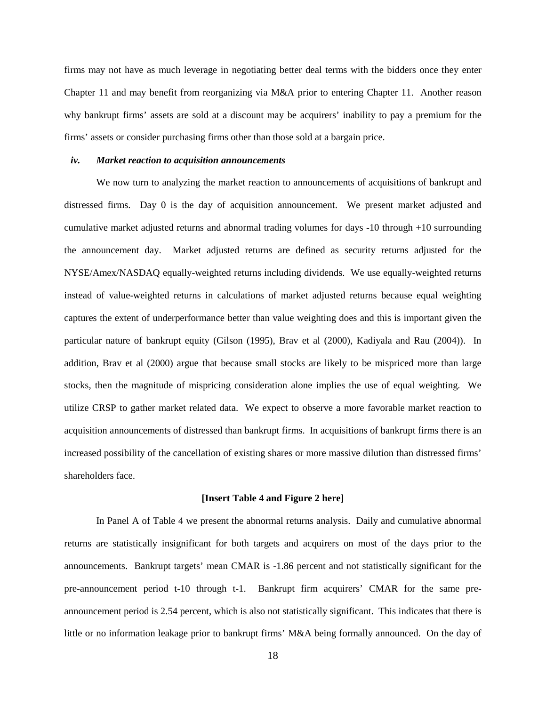firms may not have as much leverage in negotiating better deal terms with the bidders once they enter Chapter 11 and may benefit from reorganizing via M&A prior to entering Chapter 11. Another reason why bankrupt firms' assets are sold at a discount may be acquirers' inability to pay a premium for the firms' assets or consider purchasing firms other than those sold at a bargain price.

#### *iv. Market reaction to acquisition announcements*

We now turn to analyzing the market reaction to announcements of acquisitions of bankrupt and distressed firms. Day 0 is the day of acquisition announcement. We present market adjusted and cumulative market adjusted returns and abnormal trading volumes for days -10 through +10 surrounding the announcement day. Market adjusted returns are defined as security returns adjusted for the NYSE/Amex/NASDAQ equally-weighted returns including dividends. We use equally-weighted returns instead of value-weighted returns in calculations of market adjusted returns because equal weighting captures the extent of underperformance better than value weighting does and this is important given the particular nature of bankrupt equity (Gilson (1995), Brav et al (2000), Kadiyala and Rau (2004)). In addition, Brav et al (2000) argue that because small stocks are likely to be mispriced more than large stocks, then the magnitude of mispricing consideration alone implies the use of equal weighting. We utilize CRSP to gather market related data. We expect to observe a more favorable market reaction to acquisition announcements of distressed than bankrupt firms. In acquisitions of bankrupt firms there is an increased possibility of the cancellation of existing shares or more massive dilution than distressed firms' shareholders face.

#### **[Insert Table 4 and Figure 2 here]**

In Panel A of Table 4 we present the abnormal returns analysis. Daily and cumulative abnormal returns are statistically insignificant for both targets and acquirers on most of the days prior to the announcements. Bankrupt targets' mean CMAR is -1.86 percent and not statistically significant for the pre-announcement period t-10 through t-1. Bankrupt firm acquirers' CMAR for the same preannouncement period is 2.54 percent, which is also not statistically significant. This indicates that there is little or no information leakage prior to bankrupt firms' M&A being formally announced. On the day of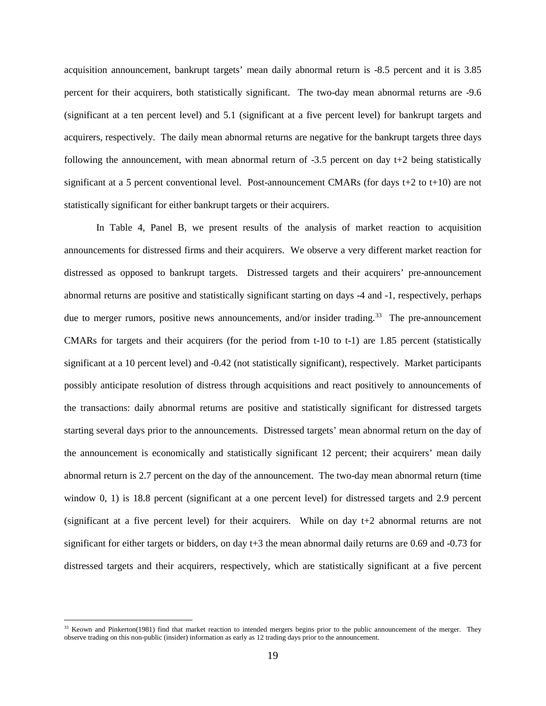acquisition announcement, bankrupt targets' mean daily abnormal return is -8.5 percent and it is 3.85 percent for their acquirers, both statistically significant. The two-day mean abnormal returns are -9.6 (significant at a ten percent level) and 5.1 (significant at a five percent level) for bankrupt targets and acquirers, respectively. The daily mean abnormal returns are negative for the bankrupt targets three days following the announcement, with mean abnormal return of  $-3.5$  percent on day t $+2$  being statistically significant at a 5 percent conventional level. Post-announcement CMARs (for days t+2 to t+10) are not statistically significant for either bankrupt targets or their acquirers.

In Table 4, Panel B, we present results of the analysis of market reaction to acquisition announcements for distressed firms and their acquirers. We observe a very different market reaction for distressed as opposed to bankrupt targets. Distressed targets and their acquirers' pre-announcement abnormal returns are positive and statistically significant starting on days -4 and -1, respectively, perhaps due to merger rumors, positive news announcements, and/or insider trading.<sup>[33](#page-19-0)</sup> The pre-announcement CMARs for targets and their acquirers (for the period from t-10 to t-1) are 1.85 percent (statistically significant at a 10 percent level) and -0.42 (not statistically significant), respectively. Market participants possibly anticipate resolution of distress through acquisitions and react positively to announcements of the transactions: daily abnormal returns are positive and statistically significant for distressed targets starting several days prior to the announcements. Distressed targets' mean abnormal return on the day of the announcement is economically and statistically significant 12 percent; their acquirers' mean daily abnormal return is 2.7 percent on the day of the announcement. The two-day mean abnormal return (time window 0, 1) is 18.8 percent (significant at a one percent level) for distressed targets and 2.9 percent (significant at a five percent level) for their acquirers. While on day t+2 abnormal returns are not significant for either targets or bidders, on day t+3 the mean abnormal daily returns are 0.69 and -0.73 for distressed targets and their acquirers, respectively, which are statistically significant at a five percent

<span id="page-19-0"></span><sup>&</sup>lt;sup>33</sup> Keown and Pinkerton(1981) find that market reaction to intended mergers begins prior to the public announcement of the merger. They observe trading on this non-public (insider) information as early as 12 trading days prior to the announcement.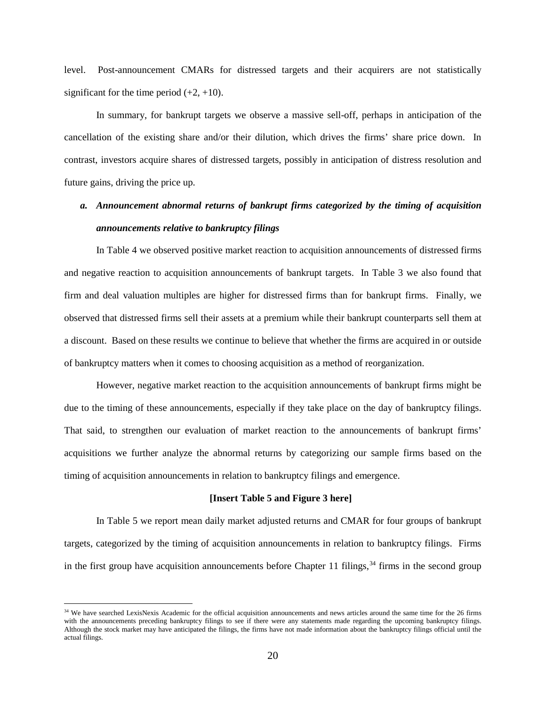level. Post-announcement CMARs for distressed targets and their acquirers are not statistically significant for the time period  $(+2, +10)$ .

In summary, for bankrupt targets we observe a massive sell-off, perhaps in anticipation of the cancellation of the existing share and/or their dilution, which drives the firms' share price down. In contrast, investors acquire shares of distressed targets, possibly in anticipation of distress resolution and future gains, driving the price up.

# *a. Announcement abnormal returns of bankrupt firms categorized by the timing of acquisition announcements relative to bankruptcy filings*

In Table 4 we observed positive market reaction to acquisition announcements of distressed firms and negative reaction to acquisition announcements of bankrupt targets. In Table 3 we also found that firm and deal valuation multiples are higher for distressed firms than for bankrupt firms. Finally, we observed that distressed firms sell their assets at a premium while their bankrupt counterparts sell them at a discount. Based on these results we continue to believe that whether the firms are acquired in or outside of bankruptcy matters when it comes to choosing acquisition as a method of reorganization.

However, negative market reaction to the acquisition announcements of bankrupt firms might be due to the timing of these announcements, especially if they take place on the day of bankruptcy filings. That said, to strengthen our evaluation of market reaction to the announcements of bankrupt firms' acquisitions we further analyze the abnormal returns by categorizing our sample firms based on the timing of acquisition announcements in relation to bankruptcy filings and emergence.

#### **[Insert Table 5 and Figure 3 here]**

In Table 5 we report mean daily market adjusted returns and CMAR for four groups of bankrupt targets, categorized by the timing of acquisition announcements in relation to bankruptcy filings. Firms in the first group have acquisition announcements before Chapter 11 filings,  $34$  firms in the second group

<span id="page-20-0"></span><sup>&</sup>lt;sup>34</sup> We have searched LexisNexis Academic for the official acquisition announcements and news articles around the same time for the 26 firms with the announcements preceding bankruptcy filings to see if there were any statements made regarding the upcoming bankruptcy filings. Although the stock market may have anticipated the filings, the firms have not made information about the bankruptcy filings official until the actual filings.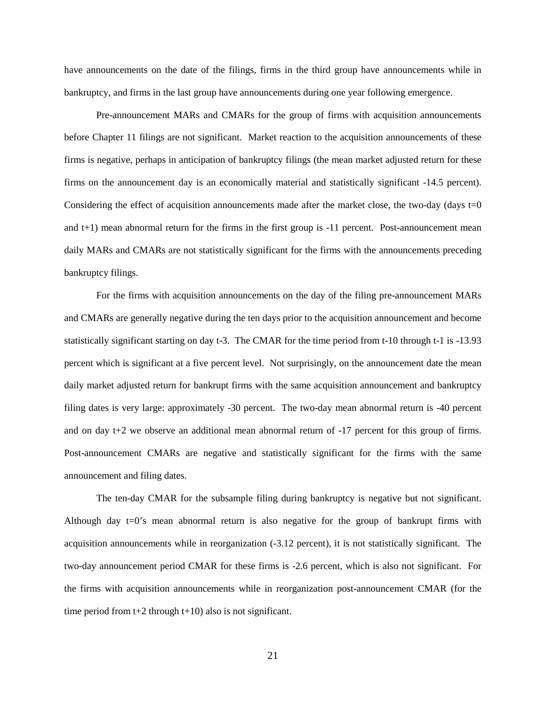have announcements on the date of the filings, firms in the third group have announcements while in bankruptcy, and firms in the last group have announcements during one year following emergence.

Pre-announcement MARs and CMARs for the group of firms with acquisition announcements before Chapter 11 filings are not significant. Market reaction to the acquisition announcements of these firms is negative, perhaps in anticipation of bankruptcy filings (the mean market adjusted return for these firms on the announcement day is an economically material and statistically significant -14.5 percent). Considering the effect of acquisition announcements made after the market close, the two-day (days  $t=0$ ) and t+1) mean abnormal return for the firms in the first group is -11 percent. Post-announcement mean daily MARs and CMARs are not statistically significant for the firms with the announcements preceding bankruptcy filings.

For the firms with acquisition announcements on the day of the filing pre-announcement MARs and CMARs are generally negative during the ten days prior to the acquisition announcement and become statistically significant starting on day t-3. The CMAR for the time period from t-10 through t-1 is -13.93 percent which is significant at a five percent level. Not surprisingly, on the announcement date the mean daily market adjusted return for bankrupt firms with the same acquisition announcement and bankruptcy filing dates is very large: approximately -30 percent. The two-day mean abnormal return is -40 percent and on day t+2 we observe an additional mean abnormal return of -17 percent for this group of firms. Post-announcement CMARs are negative and statistically significant for the firms with the same announcement and filing dates.

The ten-day CMAR for the subsample filing during bankruptcy is negative but not significant. Although day  $t=0$ 's mean abnormal return is also negative for the group of bankrupt firms with acquisition announcements while in reorganization (-3.12 percent), it is not statistically significant. The two-day announcement period CMAR for these firms is -2.6 percent, which is also not significant. For the firms with acquisition announcements while in reorganization post-announcement CMAR (for the time period from  $t+2$  through  $t+10$ ) also is not significant.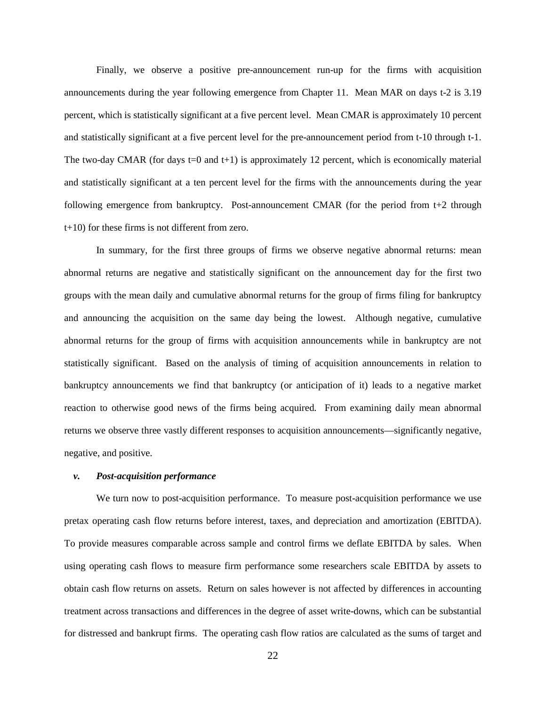Finally, we observe a positive pre-announcement run-up for the firms with acquisition announcements during the year following emergence from Chapter 11. Mean MAR on days t-2 is 3.19 percent, which is statistically significant at a five percent level. Mean CMAR is approximately 10 percent and statistically significant at a five percent level for the pre-announcement period from t-10 through t-1. The two-day CMAR (for days  $t=0$  and  $t+1$ ) is approximately 12 percent, which is economically material and statistically significant at a ten percent level for the firms with the announcements during the year following emergence from bankruptcy. Post-announcement CMAR (for the period from t+2 through t+10) for these firms is not different from zero.

In summary, for the first three groups of firms we observe negative abnormal returns: mean abnormal returns are negative and statistically significant on the announcement day for the first two groups with the mean daily and cumulative abnormal returns for the group of firms filing for bankruptcy and announcing the acquisition on the same day being the lowest. Although negative, cumulative abnormal returns for the group of firms with acquisition announcements while in bankruptcy are not statistically significant. Based on the analysis of timing of acquisition announcements in relation to bankruptcy announcements we find that bankruptcy (or anticipation of it) leads to a negative market reaction to otherwise good news of the firms being acquired. From examining daily mean abnormal returns we observe three vastly different responses to acquisition announcements—significantly negative, negative, and positive.

# *v. Post-acquisition performance*

We turn now to post-acquisition performance. To measure post-acquisition performance we use pretax operating cash flow returns before interest, taxes, and depreciation and amortization (EBITDA). To provide measures comparable across sample and control firms we deflate EBITDA by sales. When using operating cash flows to measure firm performance some researchers scale EBITDA by assets to obtain cash flow returns on assets. Return on sales however is not affected by differences in accounting treatment across transactions and differences in the degree of asset write-downs, which can be substantial for distressed and bankrupt firms. The operating cash flow ratios are calculated as the sums of target and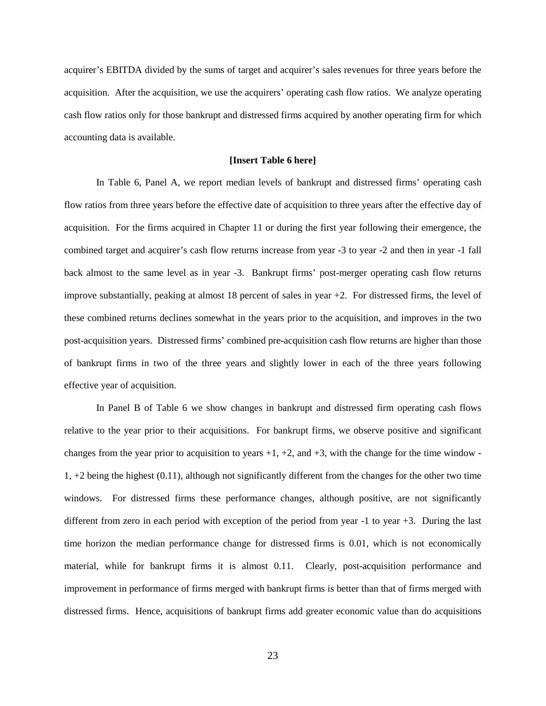acquirer's EBITDA divided by the sums of target and acquirer's sales revenues for three years before the acquisition. After the acquisition, we use the acquirers' operating cash flow ratios. We analyze operating cash flow ratios only for those bankrupt and distressed firms acquired by another operating firm for which accounting data is available.

#### **[Insert Table 6 here]**

In Table 6, Panel A, we report median levels of bankrupt and distressed firms' operating cash flow ratios from three years before the effective date of acquisition to three years after the effective day of acquisition. For the firms acquired in Chapter 11 or during the first year following their emergence, the combined target and acquirer's cash flow returns increase from year -3 to year -2 and then in year -1 fall back almost to the same level as in year -3. Bankrupt firms' post-merger operating cash flow returns improve substantially, peaking at almost 18 percent of sales in year +2. For distressed firms, the level of these combined returns declines somewhat in the years prior to the acquisition, and improves in the two post-acquisition years. Distressed firms' combined pre-acquisition cash flow returns are higher than those of bankrupt firms in two of the three years and slightly lower in each of the three years following effective year of acquisition.

In Panel B of Table 6 we show changes in bankrupt and distressed firm operating cash flows relative to the year prior to their acquisitions. For bankrupt firms, we observe positive and significant changes from the year prior to acquisition to years  $+1$ ,  $+2$ , and  $+3$ , with the change for the time window -1, +2 being the highest (0.11), although not significantly different from the changes for the other two time windows. For distressed firms these performance changes, although positive, are not significantly different from zero in each period with exception of the period from year -1 to year +3. During the last time horizon the median performance change for distressed firms is 0.01, which is not economically material, while for bankrupt firms it is almost 0.11. Clearly, post-acquisition performance and improvement in performance of firms merged with bankrupt firms is better than that of firms merged with distressed firms. Hence, acquisitions of bankrupt firms add greater economic value than do acquisitions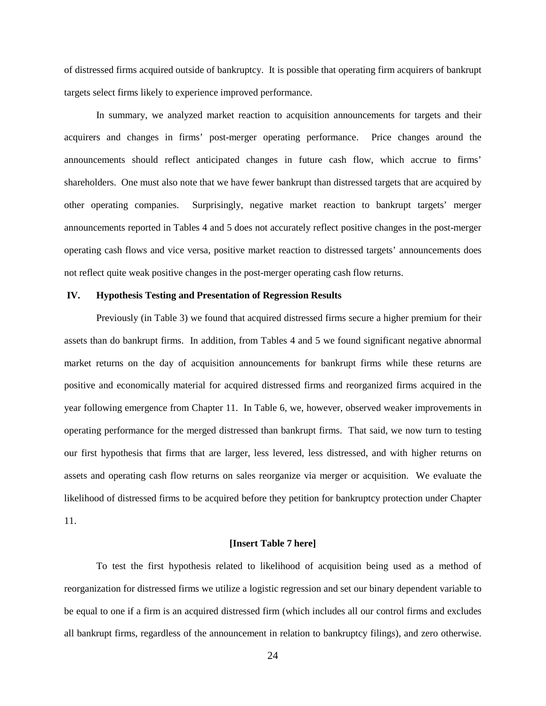of distressed firms acquired outside of bankruptcy. It is possible that operating firm acquirers of bankrupt targets select firms likely to experience improved performance.

In summary, we analyzed market reaction to acquisition announcements for targets and their acquirers and changes in firms' post-merger operating performance. Price changes around the announcements should reflect anticipated changes in future cash flow, which accrue to firms' shareholders. One must also note that we have fewer bankrupt than distressed targets that are acquired by other operating companies. Surprisingly, negative market reaction to bankrupt targets' merger announcements reported in Tables 4 and 5 does not accurately reflect positive changes in the post-merger operating cash flows and vice versa, positive market reaction to distressed targets' announcements does not reflect quite weak positive changes in the post-merger operating cash flow returns.

## **IV. Hypothesis Testing and Presentation of Regression Results**

Previously (in Table 3) we found that acquired distressed firms secure a higher premium for their assets than do bankrupt firms. In addition, from Tables 4 and 5 we found significant negative abnormal market returns on the day of acquisition announcements for bankrupt firms while these returns are positive and economically material for acquired distressed firms and reorganized firms acquired in the year following emergence from Chapter 11. In Table 6, we, however, observed weaker improvements in operating performance for the merged distressed than bankrupt firms. That said, we now turn to testing our first hypothesis that firms that are larger, less levered, less distressed, and with higher returns on assets and operating cash flow returns on sales reorganize via merger or acquisition. We evaluate the likelihood of distressed firms to be acquired before they petition for bankruptcy protection under Chapter 11.

### **[Insert Table 7 here]**

To test the first hypothesis related to likelihood of acquisition being used as a method of reorganization for distressed firms we utilize a logistic regression and set our binary dependent variable to be equal to one if a firm is an acquired distressed firm (which includes all our control firms and excludes all bankrupt firms, regardless of the announcement in relation to bankruptcy filings), and zero otherwise.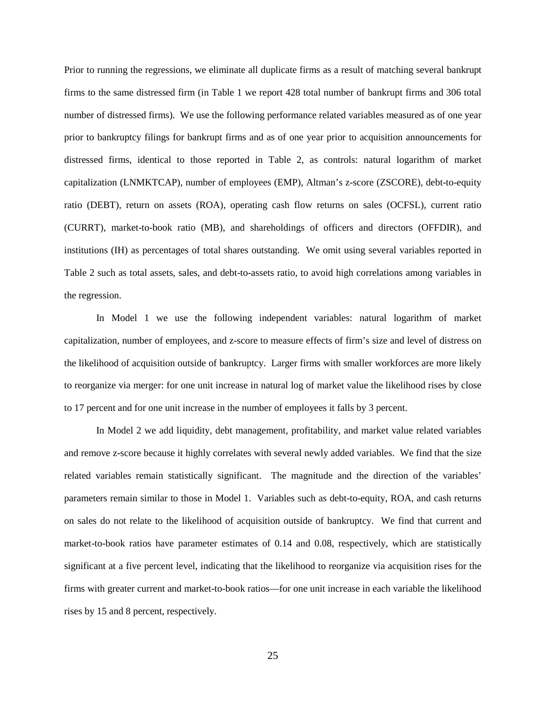Prior to running the regressions, we eliminate all duplicate firms as a result of matching several bankrupt firms to the same distressed firm (in Table 1 we report 428 total number of bankrupt firms and 306 total number of distressed firms). We use the following performance related variables measured as of one year prior to bankruptcy filings for bankrupt firms and as of one year prior to acquisition announcements for distressed firms, identical to those reported in Table 2, as controls: natural logarithm of market capitalization (LNMKTCAP), number of employees (EMP), Altman's z-score (ZSCORE), debt-to-equity ratio (DEBT), return on assets (ROA), operating cash flow returns on sales (OCFSL), current ratio (CURRT), market-to-book ratio (MB), and shareholdings of officers and directors (OFFDIR), and institutions (IH) as percentages of total shares outstanding. We omit using several variables reported in Table 2 such as total assets, sales, and debt-to-assets ratio, to avoid high correlations among variables in the regression.

In Model 1 we use the following independent variables: natural logarithm of market capitalization, number of employees, and z-score to measure effects of firm's size and level of distress on the likelihood of acquisition outside of bankruptcy. Larger firms with smaller workforces are more likely to reorganize via merger: for one unit increase in natural log of market value the likelihood rises by close to 17 percent and for one unit increase in the number of employees it falls by 3 percent.

In Model 2 we add liquidity, debt management, profitability, and market value related variables and remove z-score because it highly correlates with several newly added variables. We find that the size related variables remain statistically significant. The magnitude and the direction of the variables' parameters remain similar to those in Model 1. Variables such as debt-to-equity, ROA, and cash returns on sales do not relate to the likelihood of acquisition outside of bankruptcy. We find that current and market-to-book ratios have parameter estimates of 0.14 and 0.08, respectively, which are statistically significant at a five percent level, indicating that the likelihood to reorganize via acquisition rises for the firms with greater current and market-to-book ratios—for one unit increase in each variable the likelihood rises by 15 and 8 percent, respectively.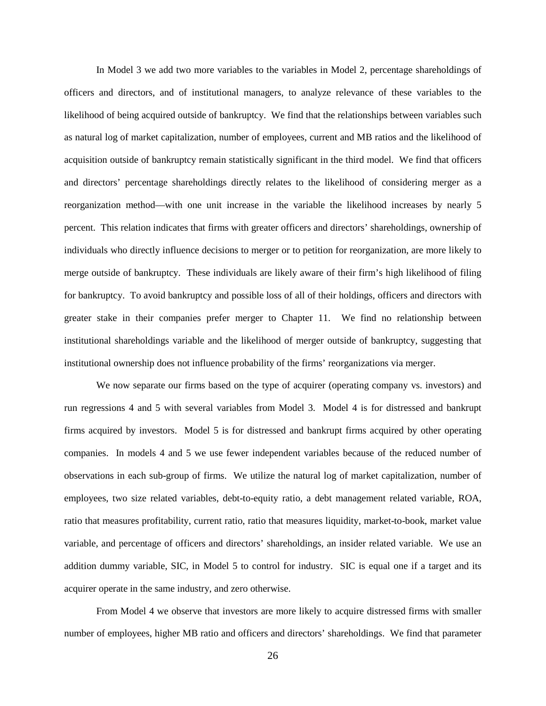In Model 3 we add two more variables to the variables in Model 2, percentage shareholdings of officers and directors, and of institutional managers, to analyze relevance of these variables to the likelihood of being acquired outside of bankruptcy. We find that the relationships between variables such as natural log of market capitalization, number of employees, current and MB ratios and the likelihood of acquisition outside of bankruptcy remain statistically significant in the third model. We find that officers and directors' percentage shareholdings directly relates to the likelihood of considering merger as a reorganization method—with one unit increase in the variable the likelihood increases by nearly 5 percent. This relation indicates that firms with greater officers and directors' shareholdings, ownership of individuals who directly influence decisions to merger or to petition for reorganization, are more likely to merge outside of bankruptcy. These individuals are likely aware of their firm's high likelihood of filing for bankruptcy. To avoid bankruptcy and possible loss of all of their holdings, officers and directors with greater stake in their companies prefer merger to Chapter 11. We find no relationship between institutional shareholdings variable and the likelihood of merger outside of bankruptcy, suggesting that institutional ownership does not influence probability of the firms' reorganizations via merger.

We now separate our firms based on the type of acquirer (operating company vs. investors) and run regressions 4 and 5 with several variables from Model 3. Model 4 is for distressed and bankrupt firms acquired by investors. Model 5 is for distressed and bankrupt firms acquired by other operating companies. In models 4 and 5 we use fewer independent variables because of the reduced number of observations in each sub-group of firms. We utilize the natural log of market capitalization, number of employees, two size related variables, debt-to-equity ratio, a debt management related variable, ROA, ratio that measures profitability, current ratio, ratio that measures liquidity, market-to-book, market value variable, and percentage of officers and directors' shareholdings, an insider related variable. We use an addition dummy variable, SIC, in Model 5 to control for industry. SIC is equal one if a target and its acquirer operate in the same industry, and zero otherwise.

From Model 4 we observe that investors are more likely to acquire distressed firms with smaller number of employees, higher MB ratio and officers and directors' shareholdings. We find that parameter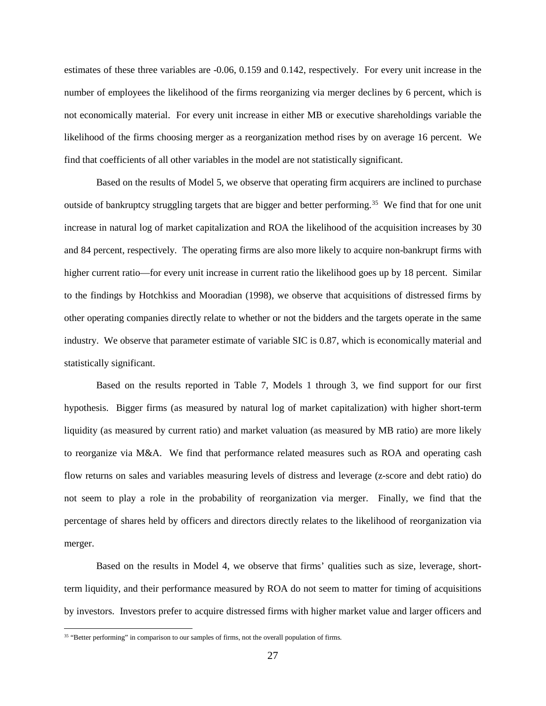estimates of these three variables are -0.06, 0.159 and 0.142, respectively. For every unit increase in the number of employees the likelihood of the firms reorganizing via merger declines by 6 percent, which is not economically material. For every unit increase in either MB or executive shareholdings variable the likelihood of the firms choosing merger as a reorganization method rises by on average 16 percent. We find that coefficients of all other variables in the model are not statistically significant.

Based on the results of Model 5, we observe that operating firm acquirers are inclined to purchase outside of bankruptcy struggling targets that are bigger and better performing.<sup>[35](#page-27-0)</sup> We find that for one unit increase in natural log of market capitalization and ROA the likelihood of the acquisition increases by 30 and 84 percent, respectively. The operating firms are also more likely to acquire non-bankrupt firms with higher current ratio—for every unit increase in current ratio the likelihood goes up by 18 percent. Similar to the findings by Hotchkiss and Mooradian (1998), we observe that acquisitions of distressed firms by other operating companies directly relate to whether or not the bidders and the targets operate in the same industry. We observe that parameter estimate of variable SIC is 0.87, which is economically material and statistically significant.

Based on the results reported in Table 7, Models 1 through 3, we find support for our first hypothesis. Bigger firms (as measured by natural log of market capitalization) with higher short-term liquidity (as measured by current ratio) and market valuation (as measured by MB ratio) are more likely to reorganize via M&A. We find that performance related measures such as ROA and operating cash flow returns on sales and variables measuring levels of distress and leverage (z-score and debt ratio) do not seem to play a role in the probability of reorganization via merger. Finally, we find that the percentage of shares held by officers and directors directly relates to the likelihood of reorganization via merger.

Based on the results in Model 4, we observe that firms' qualities such as size, leverage, shortterm liquidity, and their performance measured by ROA do not seem to matter for timing of acquisitions by investors. Investors prefer to acquire distressed firms with higher market value and larger officers and

<span id="page-27-0"></span><sup>&</sup>lt;sup>35</sup> "Better performing" in comparison to our samples of firms, not the overall population of firms.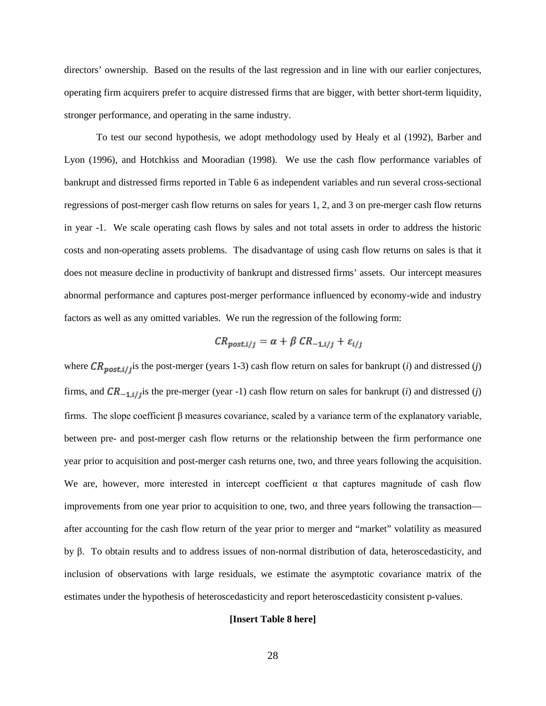directors' ownership. Based on the results of the last regression and in line with our earlier conjectures, operating firm acquirers prefer to acquire distressed firms that are bigger, with better short-term liquidity, stronger performance, and operating in the same industry.

To test our second hypothesis, we adopt methodology used by Healy et al (1992), Barber and Lyon (1996), and Hotchkiss and Mooradian (1998). We use the cash flow performance variables of bankrupt and distressed firms reported in Table 6 as independent variables and run several cross-sectional regressions of post-merger cash flow returns on sales for years 1, 2, and 3 on pre-merger cash flow returns in year -1. We scale operating cash flows by sales and not total assets in order to address the historic costs and non-operating assets problems. The disadvantage of using cash flow returns on sales is that it does not measure decline in productivity of bankrupt and distressed firms' assets. Our intercept measures abnormal performance and captures post-merger performance influenced by economy-wide and industry factors as well as any omitted variables. We run the regression of the following form:

$$
CR_{post,i/j} = \alpha + \beta CR_{-1,i/j} + \varepsilon_{i/j}
$$

where  $CR_{post,i/j}$  is the post-merger (years 1-3) cash flow return on sales for bankrupt (*i*) and distressed (*j*) firms, and  $CR_{-1,i/j}$  is the pre-merger (year -1) cash flow return on sales for bankrupt (*i*) and distressed (*j*) firms. The slope coefficient β measures covariance, scaled by a variance term of the explanatory variable, between pre- and post-merger cash flow returns or the relationship between the firm performance one year prior to acquisition and post-merger cash returns one, two, and three years following the acquisition. We are, however, more interested in intercept coefficient  $\alpha$  that captures magnitude of cash flow improvements from one year prior to acquisition to one, two, and three years following the transaction after accounting for the cash flow return of the year prior to merger and "market" volatility as measured by β. To obtain results and to address issues of non-normal distribution of data, heteroscedasticity, and inclusion of observations with large residuals, we estimate the asymptotic covariance matrix of the estimates under the hypothesis of heteroscedasticity and report heteroscedasticity consistent p-values.

## **[Insert Table 8 here]**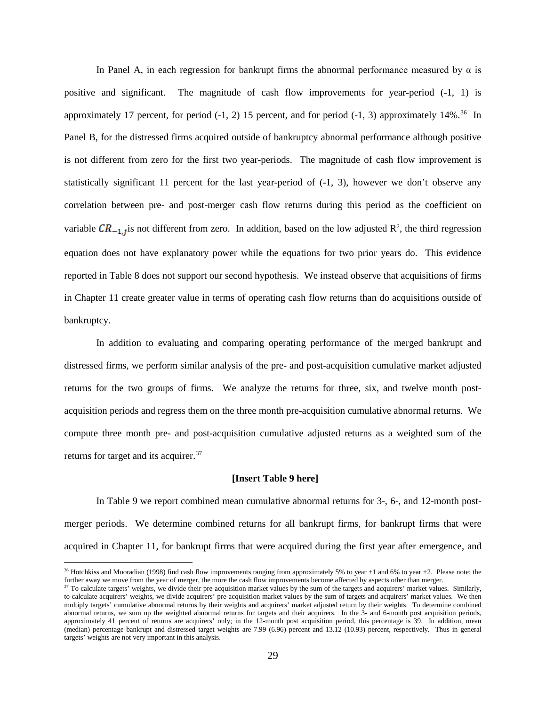In Panel A, in each regression for bankrupt firms the abnormal performance measured by  $\alpha$  is positive and significant. The magnitude of cash flow improvements for year-period (-1, 1) is approximately 17 percent, for period  $(-1, 2)$  15 percent, and for period  $(-1, 3)$  approximately 14%.<sup>36</sup> In Panel B, for the distressed firms acquired outside of bankruptcy abnormal performance although positive is not different from zero for the first two year-periods. The magnitude of cash flow improvement is statistically significant 11 percent for the last year-period of  $(-1, 3)$ , however we don't observe any correlation between pre- and post-merger cash flow returns during this period as the coefficient on variable  $\mathbb{C}R_{-1,j}$  is not different from zero. In addition, based on the low adjusted  $\mathbb{R}^2$ , the third regression equation does not have explanatory power while the equations for two prior years do. This evidence reported in Table 8 does not support our second hypothesis. We instead observe that acquisitions of firms in Chapter 11 create greater value in terms of operating cash flow returns than do acquisitions outside of bankruptcy.

In addition to evaluating and comparing operating performance of the merged bankrupt and distressed firms, we perform similar analysis of the pre- and post-acquisition cumulative market adjusted returns for the two groups of firms. We analyze the returns for three, six, and twelve month postacquisition periods and regress them on the three month pre-acquisition cumulative abnormal returns. We compute three month pre- and post-acquisition cumulative adjusted returns as a weighted sum of the returns for target and its acquirer.<sup>[37](#page-29-1)</sup>

#### **[Insert Table 9 here]**

In Table 9 we report combined mean cumulative abnormal returns for 3-, 6-, and 12-month postmerger periods. We determine combined returns for all bankrupt firms, for bankrupt firms that were acquired in Chapter 11, for bankrupt firms that were acquired during the first year after emergence, and

<span id="page-29-0"></span> $36$  Hotchkiss and Mooradian (1998) find cash flow improvements ranging from approximately 5% to year +1 and 6% to year +2. Please note: the further away we move from the year of merger, the more the cash flow improvements become affected by aspects other than merger.

<span id="page-29-1"></span><sup>&</sup>lt;sup>37</sup> To calculate targets' weights, we divide their pre-acquisition market values by the sum of the targets and acquirers' market values. Similarly, to calculate acquirers' weights, we divide acquirers' pre-acquisition market values by the sum of targets and acquirers' market values. We then multiply targets' cumulative abnormal returns by their weights and acquirers' market adjusted return by their weights. To determine combined abnormal returns, we sum up the weighted abnormal returns for targets and their acquirers. In the 3- and 6-month post acquisition periods, approximately 41 percent of returns are acquirers' only; in the 12-month post acquisition period, this percentage is 39. In addition, mean (median) percentage bankrupt and distressed target weights are 7.99 (6.96) percent and 13.12 (10.93) percent, respectively. Thus in general targets' weights are not very important in this analysis.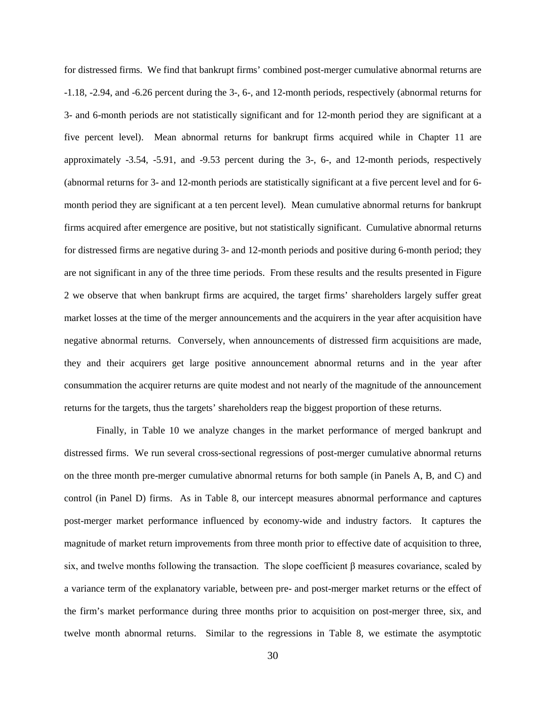for distressed firms. We find that bankrupt firms' combined post-merger cumulative abnormal returns are -1.18, -2.94, and -6.26 percent during the 3-, 6-, and 12-month periods, respectively (abnormal returns for 3- and 6-month periods are not statistically significant and for 12-month period they are significant at a five percent level). Mean abnormal returns for bankrupt firms acquired while in Chapter 11 are approximately -3.54, -5.91, and -9.53 percent during the 3-, 6-, and 12-month periods, respectively (abnormal returns for 3- and 12-month periods are statistically significant at a five percent level and for 6 month period they are significant at a ten percent level). Mean cumulative abnormal returns for bankrupt firms acquired after emergence are positive, but not statistically significant. Cumulative abnormal returns for distressed firms are negative during 3- and 12-month periods and positive during 6-month period; they are not significant in any of the three time periods. From these results and the results presented in Figure 2 we observe that when bankrupt firms are acquired, the target firms' shareholders largely suffer great market losses at the time of the merger announcements and the acquirers in the year after acquisition have negative abnormal returns. Conversely, when announcements of distressed firm acquisitions are made, they and their acquirers get large positive announcement abnormal returns and in the year after consummation the acquirer returns are quite modest and not nearly of the magnitude of the announcement returns for the targets, thus the targets' shareholders reap the biggest proportion of these returns.

Finally, in Table 10 we analyze changes in the market performance of merged bankrupt and distressed firms. We run several cross-sectional regressions of post-merger cumulative abnormal returns on the three month pre-merger cumulative abnormal returns for both sample (in Panels A, B, and C) and control (in Panel D) firms. As in Table 8, our intercept measures abnormal performance and captures post-merger market performance influenced by economy-wide and industry factors. It captures the magnitude of market return improvements from three month prior to effective date of acquisition to three, six, and twelve months following the transaction. The slope coefficient  $\beta$  measures covariance, scaled by a variance term of the explanatory variable, between pre- and post-merger market returns or the effect of the firm's market performance during three months prior to acquisition on post-merger three, six, and twelve month abnormal returns. Similar to the regressions in Table 8, we estimate the asymptotic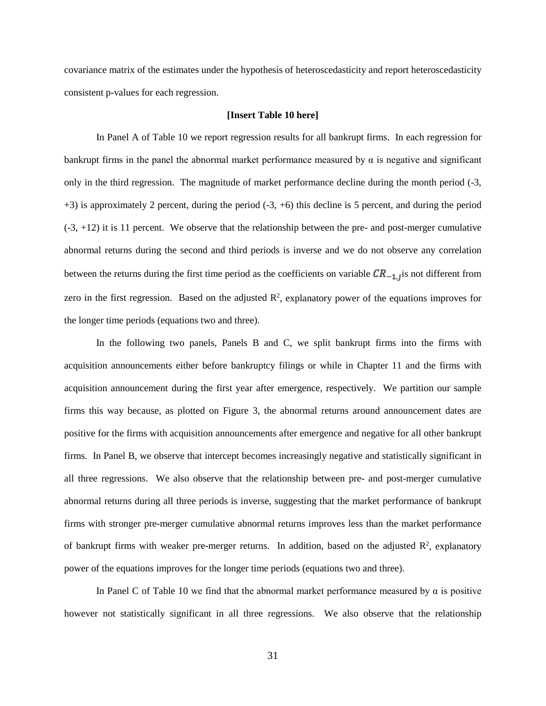covariance matrix of the estimates under the hypothesis of heteroscedasticity and report heteroscedasticity consistent p-values for each regression.

#### **[Insert Table 10 here]**

In Panel A of Table 10 we report regression results for all bankrupt firms. In each regression for bankrupt firms in the panel the abnormal market performance measured by  $\alpha$  is negative and significant only in the third regression. The magnitude of market performance decline during the month period (-3, +3) is approximately 2 percent, during the period (-3, +6) this decline is 5 percent, and during the period  $(-3, +12)$  it is 11 percent. We observe that the relationship between the pre- and post-merger cumulative abnormal returns during the second and third periods is inverse and we do not observe any correlation between the returns during the first time period as the coefficients on variable  $\mathfrak{CR}_{-1,j}$  is not different from zero in the first regression. Based on the adjusted  $\mathbb{R}^2$ , explanatory power of the equations improves for the longer time periods (equations two and three).

In the following two panels, Panels B and C, we split bankrupt firms into the firms with acquisition announcements either before bankruptcy filings or while in Chapter 11 and the firms with acquisition announcement during the first year after emergence, respectively. We partition our sample firms this way because, as plotted on Figure 3, the abnormal returns around announcement dates are positive for the firms with acquisition announcements after emergence and negative for all other bankrupt firms. In Panel B, we observe that intercept becomes increasingly negative and statistically significant in all three regressions. We also observe that the relationship between pre- and post-merger cumulative abnormal returns during all three periods is inverse, suggesting that the market performance of bankrupt firms with stronger pre-merger cumulative abnormal returns improves less than the market performance of bankrupt firms with weaker pre-merger returns. In addition, based on the adjusted  $\mathbb{R}^2$ , explanatory power of the equations improves for the longer time periods (equations two and three).

In Panel C of Table 10 we find that the abnormal market performance measured by  $\alpha$  is positive however not statistically significant in all three regressions. We also observe that the relationship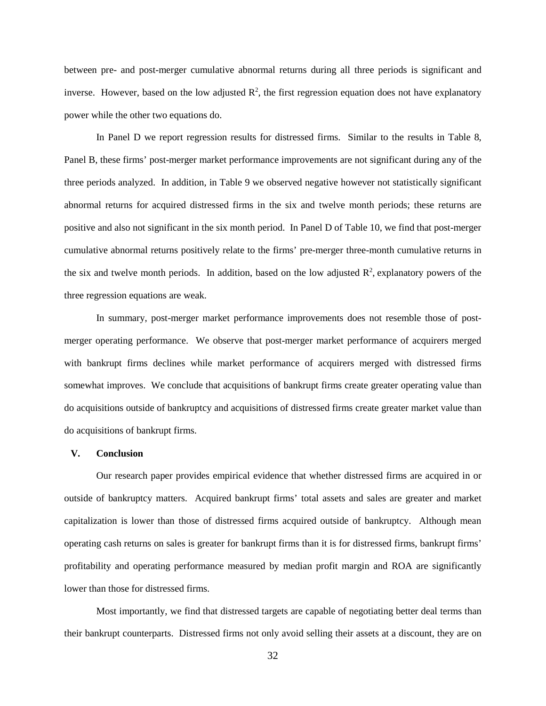between pre- and post-merger cumulative abnormal returns during all three periods is significant and inverse. However, based on the low adjusted  $\mathbb{R}^2$ , the first regression equation does not have explanatory power while the other two equations do.

In Panel D we report regression results for distressed firms. Similar to the results in Table 8, Panel B, these firms' post-merger market performance improvements are not significant during any of the three periods analyzed. In addition, in Table 9 we observed negative however not statistically significant abnormal returns for acquired distressed firms in the six and twelve month periods; these returns are positive and also not significant in the six month period. In Panel D of Table 10, we find that post-merger cumulative abnormal returns positively relate to the firms' pre-merger three-month cumulative returns in the six and twelve month periods. In addition, based on the low adjusted  $\mathbb{R}^2$ , explanatory powers of the three regression equations are weak.

In summary, post-merger market performance improvements does not resemble those of postmerger operating performance. We observe that post-merger market performance of acquirers merged with bankrupt firms declines while market performance of acquirers merged with distressed firms somewhat improves. We conclude that acquisitions of bankrupt firms create greater operating value than do acquisitions outside of bankruptcy and acquisitions of distressed firms create greater market value than do acquisitions of bankrupt firms.

## **V. Conclusion**

Our research paper provides empirical evidence that whether distressed firms are acquired in or outside of bankruptcy matters. Acquired bankrupt firms' total assets and sales are greater and market capitalization is lower than those of distressed firms acquired outside of bankruptcy. Although mean operating cash returns on sales is greater for bankrupt firms than it is for distressed firms, bankrupt firms' profitability and operating performance measured by median profit margin and ROA are significantly lower than those for distressed firms.

Most importantly, we find that distressed targets are capable of negotiating better deal terms than their bankrupt counterparts. Distressed firms not only avoid selling their assets at a discount, they are on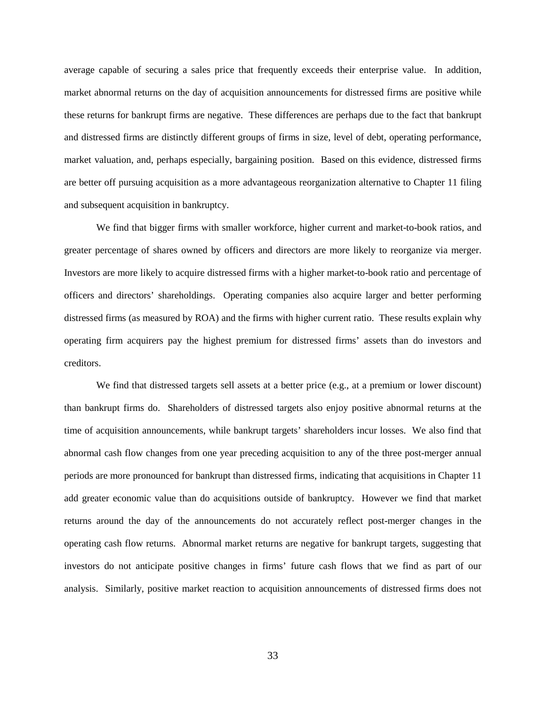average capable of securing a sales price that frequently exceeds their enterprise value. In addition, market abnormal returns on the day of acquisition announcements for distressed firms are positive while these returns for bankrupt firms are negative. These differences are perhaps due to the fact that bankrupt and distressed firms are distinctly different groups of firms in size, level of debt, operating performance, market valuation, and, perhaps especially, bargaining position. Based on this evidence, distressed firms are better off pursuing acquisition as a more advantageous reorganization alternative to Chapter 11 filing and subsequent acquisition in bankruptcy.

We find that bigger firms with smaller workforce, higher current and market-to-book ratios, and greater percentage of shares owned by officers and directors are more likely to reorganize via merger. Investors are more likely to acquire distressed firms with a higher market-to-book ratio and percentage of officers and directors' shareholdings. Operating companies also acquire larger and better performing distressed firms (as measured by ROA) and the firms with higher current ratio. These results explain why operating firm acquirers pay the highest premium for distressed firms' assets than do investors and creditors.

We find that distressed targets sell assets at a better price (e.g., at a premium or lower discount) than bankrupt firms do. Shareholders of distressed targets also enjoy positive abnormal returns at the time of acquisition announcements, while bankrupt targets' shareholders incur losses. We also find that abnormal cash flow changes from one year preceding acquisition to any of the three post-merger annual periods are more pronounced for bankrupt than distressed firms, indicating that acquisitions in Chapter 11 add greater economic value than do acquisitions outside of bankruptcy. However we find that market returns around the day of the announcements do not accurately reflect post-merger changes in the operating cash flow returns. Abnormal market returns are negative for bankrupt targets, suggesting that investors do not anticipate positive changes in firms' future cash flows that we find as part of our analysis. Similarly, positive market reaction to acquisition announcements of distressed firms does not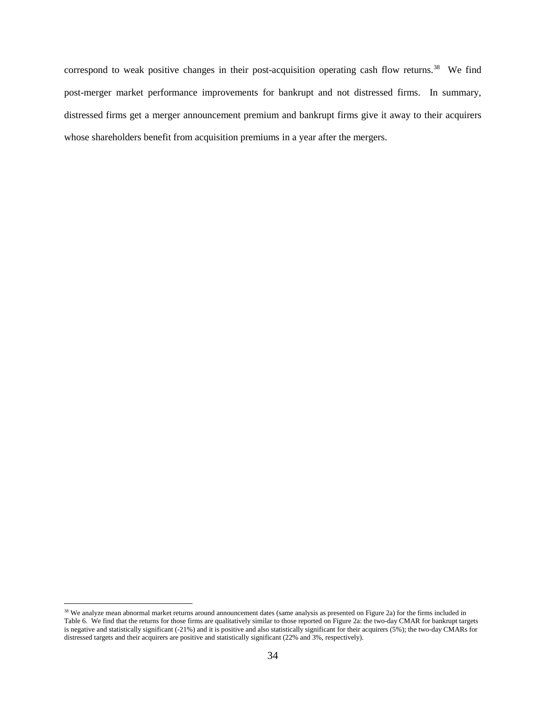correspond to weak positive changes in their post-acquisition operating cash flow returns.<sup>38</sup> We find post-merger market performance improvements for bankrupt and not distressed firms. In summary, distressed firms get a merger announcement premium and bankrupt firms give it away to their acquirers whose shareholders benefit from acquisition premiums in a year after the mergers.

<span id="page-34-0"></span><sup>&</sup>lt;sup>38</sup> We analyze mean abnormal market returns around announcement dates (same analysis as presented on Figure 2a) for the firms included in Table 6. We find that the returns for those firms are qualitatively similar to those reported on Figure 2a: the two-day CMAR for bankrupt targets is negative and statistically significant (-21%) and it is positive and also statistically significant for their acquirers (5%); the two-day CMARs for distressed targets and their acquirers are positive and statistically significant (22% and 3%, respectively).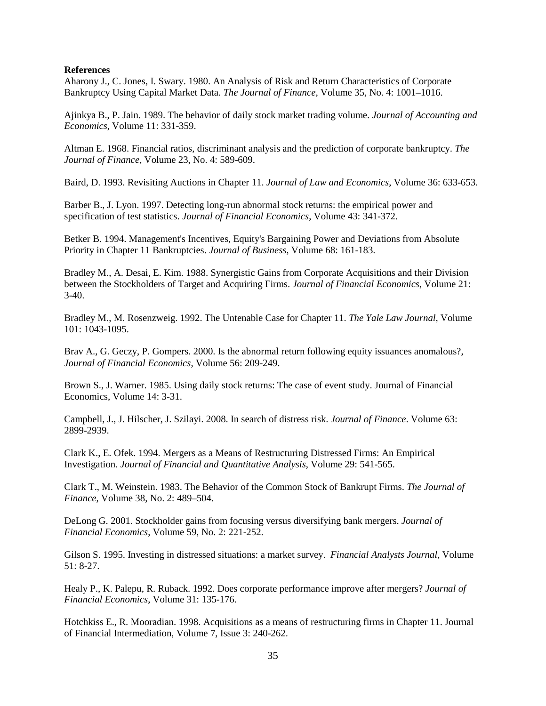## **References**

Aharony J., C. Jones, I. Swary. 1980. An Analysis of Risk and Return Characteristics of Corporate Bankruptcy Using Capital Market Data. *The Journal of Finance*, [Volume 35, No. 4:](http://onlinelibrary.wiley.com/doi/10.1111/jofi.1983.38.issue-2/issuetoc) 1001–1016.

Ajinkya B., P. Jain. 1989. The behavior of daily stock market trading volume. *Journal of Accounting and Economics*, Volume 11: 331-359.

Altman E. 1968. [Financial ratios, discriminant analysis and the prediction of](http://www.jstor.org/stable/10.2307/2978933) corporate bankruptcy. *The Journal of Finance*, Volume 23, No. 4: 589-609.

Baird, D. 1993. Revisiting Auctions in Chapter 11. *Journal of Law and Economics*, Volume 36: 633-653.

Barber B., J. Lyon. 1997. Detecting long-run abnormal stock returns: the empirical power and specification of test statistics. *Journal of Financial Economics*, Volume 43: 341-372.

Betker B. 1994. Management's Incentives, Equity's Bargaining Power and Deviations from Absolute Priority in Chapter 11 Bankruptcies. *Journal of Business*, Volume 68: 161-183.

Bradley M., A. Desai, E. Kim. 1988. Synergistic Gains from Corporate Acquisitions and their Division between the Stockholders of Target and Acquiring Firms. *Journal of Financial Economics*, Volume 21:  $3-40.$ 

Bradley M., M. Rosenzweig. 1992. The Untenable Case for Chapter 11. *The Yale Law Journal*, Volume 101: 1043-1095.

Brav A., G. Geczy, P. Gompers. 2000. Is the abnormal return following equity issuances anomalous?, *Journal of Financial Economics*, Volume 56: 209-249.

Brown S., J. Warner. 1985. Using daily stock returns: The case of event study. Journal of Financial Economics, Volume 14: 3-31.

Campbell, J., J. Hilscher, J. Szilayi. 2008. In search of distress risk. *Journal of Finance*. Volume 63: 2899-2939.

Clark K., E. Ofek. 1994. Mergers as a Means of Restructuring Distressed Firms: An Empirical Investigation. *Journal of Financial and Quantitative Analysis*, Volume 29: 541-565.

Clark T., M. Weinstein. 1983. The Behavior of the Common Stock of Bankrupt Firms. *The Journal of Finance*, [Volume 38, No. 2:](http://onlinelibrary.wiley.com/doi/10.1111/jofi.1983.38.issue-2/issuetoc) 489–504.

DeLong G. 2001. Stockholder gains from focusing versus diversifying bank mergers. *Journal of Financial Economics*, Volume 59, No. 2: 221-252.

Gilson S. 1995. Investing in distressed situations: a market survey. *Financial Analysts Journal*, Volume 51: 8-27.

Healy P., K. Palepu, R. Ruback. 1992. Does corporate performance improve after mergers? *Journal of Financial Economics*, Volume 31: 135-176.

Hotchkiss E., R. Mooradian. 1998. [Acquisitions](http://www.sciencedirect.com/science/article/pii/S0304405X96009002) as a means of restructuring firms in Chapter 11. Journal of Financial Intermediation, Volume 7, Issue 3: 240-262.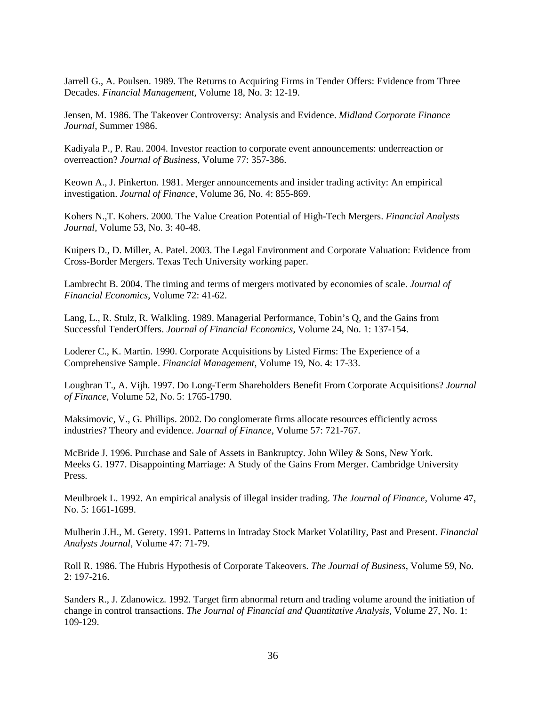Jarrell G., A. Poulsen. 1989. The Returns to Acquiring Firms in Tender Offers: Evidence from Three Decades. *Financial Management*, Volume 18, No. 3: 12-19.

Jensen, M. 1986. The Takeover Controversy: Analysis and Evidence. *Midland Corporate Finance Journal*, Summer 1986.

Kadiyala P., P. Rau. 2004. Investor reaction to corporate event announcements: underreaction or overreaction? *Journal of Business*, Volume 77: 357-386.

Keown A., J. Pinkerton. 1981. Merger announcements and insider trading activity: An empirical investigation. *Journal of Finance*, Volume 36, No. 4: 855-869.

Kohers N.,T. Kohers. 2000. The Value Creation Potential of High-Tech Mergers. *Financial Analysts Journal*, Volume 53, No. 3: 40-48.

Kuipers D., D. Miller, A. Patel. 2003. The Legal Environment and Corporate Valuation: Evidence from Cross-Border Mergers. Texas Tech University working paper.

Lambrecht B. 2004. The timing and terms of mergers motivated by economies of scale. *Journal of Financial Economics*, Volume 72: 41-62.

Lang, L., R. Stulz, R. Walkling. 1989. Managerial Performance, Tobin's Q, and the Gains from Successful TenderOffers. *Journal of Financial Economics*, Volume 24, No. 1: 137-154.

Loderer C., K. Martin. 1990. Corporate Acquisitions by Listed Firms: The Experience of a Comprehensive Sample. *Financial Management*, Volume 19, No. 4: 17-33.

Loughran T., A. Vijh. 1997. Do Long-Term Shareholders Benefit From Corporate Acquisitions? *Journal of Finance*, Volume 52, No. 5: 1765-1790.

Maksimovic, V., G. Phillips. 2002. [Do conglomerate firms allocate resources efficiently across](http://www.cba.uri.edu/Lin/seminar/Maksimovic%20and%20Phillips%202002.pdf)  [industries? Theory and evidence.](http://www.cba.uri.edu/Lin/seminar/Maksimovic%20and%20Phillips%202002.pdf) *Journal of Finance*, Volume 57: 721-767.

McBride J. 1996. Purchase and Sale of Assets in Bankruptcy. John Wiley & Sons, New York. Meeks G. 1977. Disappointing Marriage: A Study of the Gains From Merger. Cambridge University Press.

Meulbroek L. 1992. An empirical analysis of illegal insider trading. *The Journal of Finance*, Volume 47, No. 5: 1661-1699.

Mulherin J.H., M. Gerety. 1991. Patterns in Intraday Stock Market Volatility, Past and Present. *Financial Analysts Journal*, Volume 47: 71-79.

Roll R. 1986. The Hubris Hypothesis of Corporate Takeovers. *The Journal of Business*, Volume 59, No. 2: 197-216.

Sanders R., J. Zdanowicz. 1992. Target firm abnormal return and trading volume around the initiation of change in control transactions. *The Journal of Financial and Quantitative Analysis*, Volume 27, No. 1: 109-129.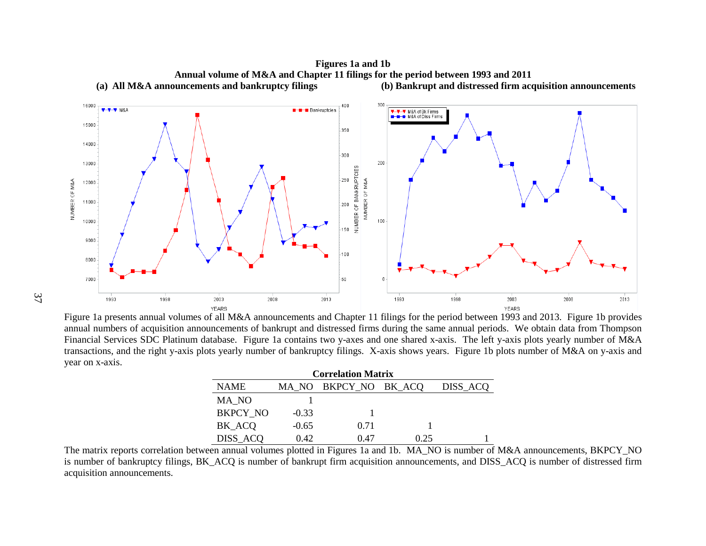

**Figures 1a and 1b Annual volume of M&A and Chapter 11 filings for the period between 1993 and 2011 (a) All M&A announcements and bankruptcy filings (b) Bankrupt and distressed firm acquisition announcements**

Figure 1a presents annual volumes of all M&A announcements and Chapter 11 filings for the period between 1993 and 2013. Figure 1b provides annual numbers of acquisition announcements of bankrupt and distressed firms during the same annual periods. We obtain data from Thompson Financial Services SDC Platinum database. Figure 1a contains two y-axes and one shared x-axis. The left y-axis plots yearly number of M&A transactions, and the right y-axis plots yearly number of bankruptcy filings. X-axis shows years. Figure 1b plots number of M&A on y-axis and year on x-axis.

| <b>Correlation Matrix</b> |         |                 |      |          |  |  |  |  |
|---------------------------|---------|-----------------|------|----------|--|--|--|--|
| <b>NAME</b>               | MA NO   | BKPCY_NO BK_ACQ |      | DISS ACQ |  |  |  |  |
| MA NO                     |         |                 |      |          |  |  |  |  |
| <b>BKPCY NO</b>           | $-0.33$ |                 |      |          |  |  |  |  |
| BK_ACQ                    | $-0.65$ | 0.71            |      |          |  |  |  |  |
| DISS_ACQ                  | 0.42    | 0.47            | 0.25 |          |  |  |  |  |

The matrix reports correlation between annual volumes plotted in Figures 1a and 1b. MA\_NO is number of M&A announcements, BKPCY\_NO is number of bankruptcy filings, BK\_ACQ is number of bankrupt firm acquisition announcements, and DISS\_ACQ is number of distressed firm acquisition announcements.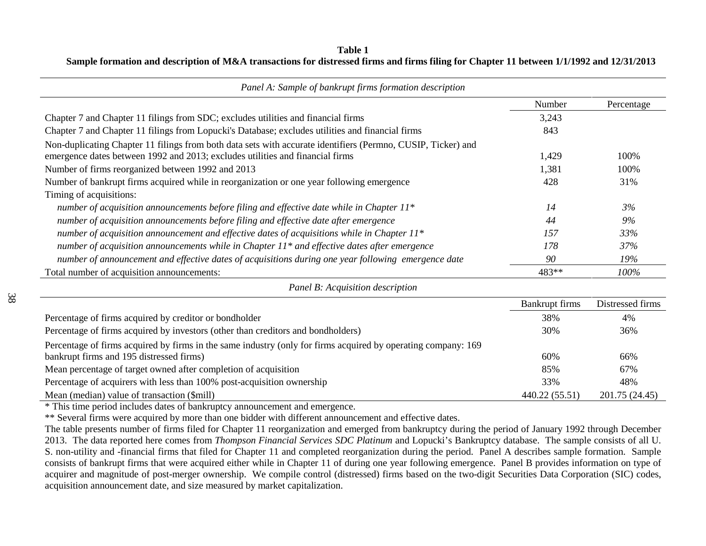**Table 1 Sample formation and description of M&A transactions for distressed firms and firms filing for Chapter 11 between 1/1/1992 and 12/31/2013**

| Panel A: Sample of bankrupt firms formation description                                                       |                       |                  |
|---------------------------------------------------------------------------------------------------------------|-----------------------|------------------|
|                                                                                                               | Number                | Percentage       |
| Chapter 7 and Chapter 11 filings from SDC; excludes utilities and financial firms                             | 3,243                 |                  |
| Chapter 7 and Chapter 11 filings from Lopucki's Database; excludes utilities and financial firms              | 843                   |                  |
| Non-duplicating Chapter 11 filings from both data sets with accurate identifiers (Permno, CUSIP, Ticker) and  |                       |                  |
| emergence dates between 1992 and 2013; excludes utilities and financial firms                                 | 1,429                 | 100%             |
| Number of firms reorganized between 1992 and 2013                                                             | 1,381                 | 100%             |
| Number of bankrupt firms acquired while in reorganization or one year following emergence                     | 428                   | 31%              |
| Timing of acquisitions:                                                                                       |                       |                  |
| number of acquisition announcements before filing and effective date while in Chapter $11^*$                  | 14                    | 3%               |
| number of acquisition announcements before filing and effective date after emergence                          | 44                    | 9%               |
| number of acquisition announcement and effective dates of acquisitions while in Chapter $11^*$                | 157                   | 33%              |
| number of acquisition announcements while in Chapter $11*$ and effective dates after emergence                | 178                   | 37%              |
| number of announcement and effective dates of acquisitions during one year following emergence date           | 90                    | 19%              |
| Total number of acquisition announcements:                                                                    | 483**                 | 100%             |
| Panel B: Acquisition description                                                                              |                       |                  |
|                                                                                                               | <b>Bankrupt</b> firms | Distressed firms |
| Percentage of firms acquired by creditor or bondholder                                                        | 38%                   | 4%               |
| Percentage of firms acquired by investors (other than creditors and bondholders)                              | 30%                   | 36%              |
| Percentage of firms acquired by firms in the same industry (only for firms acquired by operating company: 169 |                       |                  |
| bankrupt firms and 195 distressed firms)                                                                      | 60%                   | 66%              |
| Mean percentage of target owned after completion of acquisition                                               | 85%                   | 67%              |
| Percentage of acquirers with less than 100% post-acquisition ownership                                        | 33%                   | 48%              |
| Mean (median) value of transaction (\$mill)                                                                   | 440.22 (55.51)        | 201.75 (24.45)   |

\* This time period includes dates of bankruptcy announcement and emergence.

\*\* Several firms were acquired by more than one bidder with different announcement and effective dates.

The table presents number of firms filed for Chapter 11 reorganization and emerged from bankruptcy during the period of January 1992 through December 2013. The data reported here comes from *Thompson Financial Services SDC Platinum* and Lopucki's Bankruptcy database. The sample consists of all U. S. non-utility and -financial firms that filed for Chapter 11 and completed reorganization during the period. Panel A describes sample formation. Sample consists of bankrupt firms that were acquired either while in Chapter 11 of during one year following emergence. Panel B provides information on type of acquirer and magnitude of post-merger ownership. We compile control (distressed) firms based on the two-digit Securities Data Corporation (SIC) codes, acquisition announcement date, and size measured by market capitalization.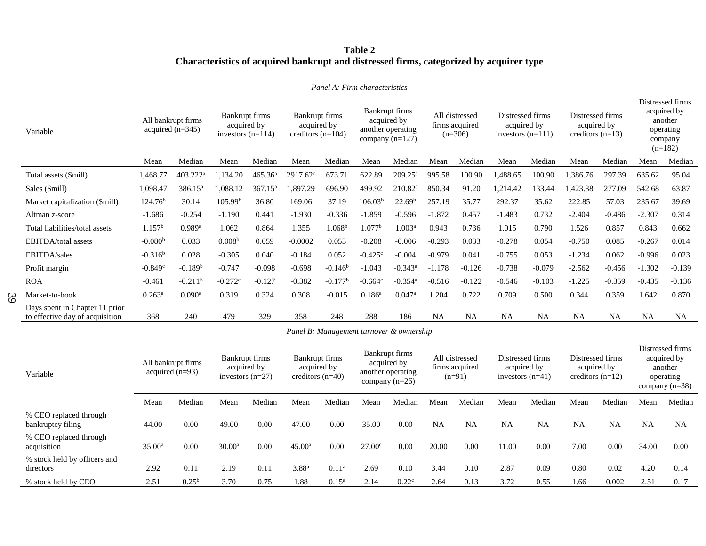**Table 2 Characteristics of acquired bankrupt and distressed firms, categorized by acquirer type**

|                                                                   |                     |                                          |                                                             |                     |                                                      | Panel A: Firm characteristics |                     |                                                                         |           |                                               |                                                        |           |                                                       |           |           |                                                                                 |
|-------------------------------------------------------------------|---------------------|------------------------------------------|-------------------------------------------------------------|---------------------|------------------------------------------------------|-------------------------------|---------------------|-------------------------------------------------------------------------|-----------|-----------------------------------------------|--------------------------------------------------------|-----------|-------------------------------------------------------|-----------|-----------|---------------------------------------------------------------------------------|
| Variable                                                          |                     | All bankrupt firms<br>acquired $(n=345)$ | <b>Bankrupt</b> firms<br>acquired by<br>investors $(n=114)$ |                     | Bankrupt firms<br>acquired by<br>creditors $(n=104)$ |                               |                     | Bankrupt firms<br>acquired by<br>another operating<br>company $(n=127)$ |           | All distressed<br>firms acquired<br>$(n=306)$ | Distressed firms<br>acquired by<br>investors $(n=111)$ |           | Distressed firms<br>acquired by<br>creditors $(n=13)$ |           |           | Distressed firms<br>acquired by<br>another<br>operating<br>company<br>$(n=182)$ |
|                                                                   | Mean                | Median                                   | Mean                                                        | Median              | Mean                                                 | Median                        | Mean                | Median                                                                  | Mean      | Median                                        | Mean                                                   | Median    | Mean                                                  | Median    | Mean      | Median                                                                          |
| Total assets (\$mill)                                             | 1,468.77            | $403.222$ <sup>a</sup>                   | 1,134.20                                                    | 465.36 <sup>a</sup> | 2917.62 <sup>c</sup>                                 | 673.71                        | 622.89              | $209.25^a$                                                              | 995.58    | 100.90                                        | 1,488.65                                               | 100.90    | 1,386.76                                              | 297.39    | 635.62    | 95.04                                                                           |
| Sales (\$mill)                                                    | 1,098.47            | 386.15 <sup>a</sup>                      | 1,088.12                                                    | 367.15 <sup>a</sup> | 1,897.29                                             | 696.90                        | 499.92              | 210.82 <sup>a</sup>                                                     | 850.34    | 91.20                                         | 1,214.42                                               | 133.44    | 1,423.38                                              | 277.09    | 542.68    | 63.87                                                                           |
| Market capitalization (\$mill)                                    | 124.76 <sup>b</sup> | 30.14                                    | 105.99 <sup>b</sup>                                         | 36.80               | 169.06                                               | 37.19                         | 106.03 <sup>b</sup> | 22.69 <sup>b</sup>                                                      | 257.19    | 35.77                                         | 292.37                                                 | 35.62     | 222.85                                                | 57.03     | 235.67    | 39.69                                                                           |
| Altman z-score                                                    | $-1.686$            | $-0.254$                                 | $-1.190$                                                    | 0.441               | $-1.930$                                             | $-0.336$                      | $-1.859$            | $-0.596$                                                                | $-1.872$  | 0.457                                         | $-1.483$                                               | 0.732     | $-2.404$                                              | $-0.486$  | $-2.307$  | 0.314                                                                           |
| Total liabilities/total assets                                    | 1.157 <sup>b</sup>  | 0.989a                                   | 1.062                                                       | 0.864               | 1.355                                                | 1.068 <sup>b</sup>            | 1.077 <sup>b</sup>  | 1.003 <sup>a</sup>                                                      | 0.943     | 0.736                                         | 1.015                                                  | 0.790     | 1.526                                                 | 0.857     | 0.843     | 0.662                                                                           |
| <b>EBITDA</b> /total assets                                       | $-0.080b$           | 0.033                                    | 0.008 <sup>b</sup>                                          | 0.059               | $-0.0002$                                            | 0.053                         | $-0.208$            | $-0.006$                                                                | $-0.293$  | 0.033                                         | $-0.278$                                               | 0.054     | $-0.750$                                              | 0.085     | $-0.267$  | 0.014                                                                           |
| EBITDA/sales                                                      | $-0.316^{b}$        | 0.028                                    | $-0.305$                                                    | 0.040               | $-0.184$                                             | 0.052                         | $-0.425c$           | $-0.004$                                                                | $-0.979$  | 0.041                                         | $-0.755$                                               | 0.053     | $-1.234$                                              | 0.062     | $-0.996$  | 0.023                                                                           |
| Profit margin                                                     | $-0.849c$           | $-0.189b$                                | $-0.747$                                                    | $-0.098$            | $-0.698$                                             | $-0.146^b$                    | $-1.043$            | $-0.343^a$                                                              | $-1.178$  | $-0.126$                                      | $-0.738$                                               | $-0.079$  | $-2.562$                                              | $-0.456$  | $-1.302$  | $-0.139$                                                                        |
| <b>ROA</b>                                                        | $-0.461$            | $-0.211$ <sup>b</sup>                    | $-0.272c$                                                   | $-0.127$            | $-0.382$                                             | $-0.177b$                     | $-0.664c$           | $-0.354$ <sup>a</sup>                                                   | $-0.516$  | $-0.122$                                      | $-0.546$                                               | $-0.103$  | $-1.225$                                              | $-0.359$  | $-0.435$  | $-0.136$                                                                        |
| Market-to-book                                                    | $0.263^a$           | $0.090$ <sup>a</sup>                     | 0.319                                                       | 0.324               | 0.308                                                | $-0.015$                      | $0.186^a$           | $0.047$ <sup>a</sup>                                                    | 1.204     | 0.722                                         | 0.709                                                  | 0.500     | 0.344                                                 | 0.359     | 1.642     | 0.870                                                                           |
| Days spent in Chapter 11 prior<br>to effective day of acquisition | 368                 | 240                                      | 479                                                         | 329                 | 358                                                  | 248                           | 288                 | 186                                                                     | <b>NA</b> | <b>NA</b>                                     | <b>NA</b>                                              | NA        | <b>NA</b>                                             | NA        | <b>NA</b> | <b>NA</b>                                                                       |
|                                                                   |                     |                                          |                                                             |                     |                                                      |                               |                     | Panel B: Management turnover & ownership                                |           |                                               |                                                        |           |                                                       |           |           |                                                                                 |
| Variable                                                          |                     | All bankrupt firms<br>acquired $(n=93)$  | Bankrupt firms<br>acquired by<br>investors $(n=27)$         |                     | Bankrupt firms<br>acquired by<br>creditors $(n=40)$  |                               |                     | Bankrupt firms<br>acquired by<br>another operating<br>company $(n=26)$  |           | All distressed<br>firms acquired<br>$(n=91)$  | Distressed firms<br>acquired by<br>investors $(n=41)$  |           | Distressed firms<br>acquired by<br>creditors $(n=12)$ |           |           | Distressed firms<br>acquired by<br>another<br>operating<br>company $(n=38)$     |
|                                                                   | Mean                | Median                                   | Mean                                                        | Median              | Mean                                                 | Median                        | Mean                | Median                                                                  | Mean      | Median                                        | Mean                                                   | Median    | Mean                                                  | Median    | Mean      | Median                                                                          |
| % CEO replaced through<br>bankruptcy filing                       | 44.00               | 0.00                                     | 49.00                                                       | 0.00                | 47.00                                                | 0.00                          | 35.00               | 0.00                                                                    | <b>NA</b> | <b>NA</b>                                     | <b>NA</b>                                              | <b>NA</b> | <b>NA</b>                                             | <b>NA</b> | <b>NA</b> | <b>NA</b>                                                                       |
| % CEO replaced through<br>acquisition                             | 35.00 <sup>a</sup>  | 0.00                                     | $30.00^a$                                                   | 0.00                | 45.00 <sup>a</sup>                                   | 0.00                          | 27.00 <sup>c</sup>  | 0.00                                                                    | 20.00     | 0.00                                          | 11.00                                                  | 0.00      | 7.00                                                  | 0.00      | 34.00     | 0.00                                                                            |
| % stock held by officers and<br>directors                         | 2.92                | 0.11                                     | 2.19                                                        | 0.11                | 3.88 <sup>a</sup>                                    | 0.11 <sup>a</sup>             | 2.69                | 0.10                                                                    | 3.44      | 0.10                                          | 2.87                                                   | 0.09      | 0.80                                                  | 0.02      | 4.20      | 0.14                                                                            |
| % stock held by CEO                                               | 2.51                | $0.25^{b}$                               | 3.70                                                        | 0.75                | 1.88                                                 | $0.15^{\rm a}$                | 2.14                | 0.22 <sup>c</sup>                                                       | 2.64      | 0.13                                          | 3.72                                                   | 0.55      | 1.66                                                  | 0.002     | 2.51      | 0.17                                                                            |

39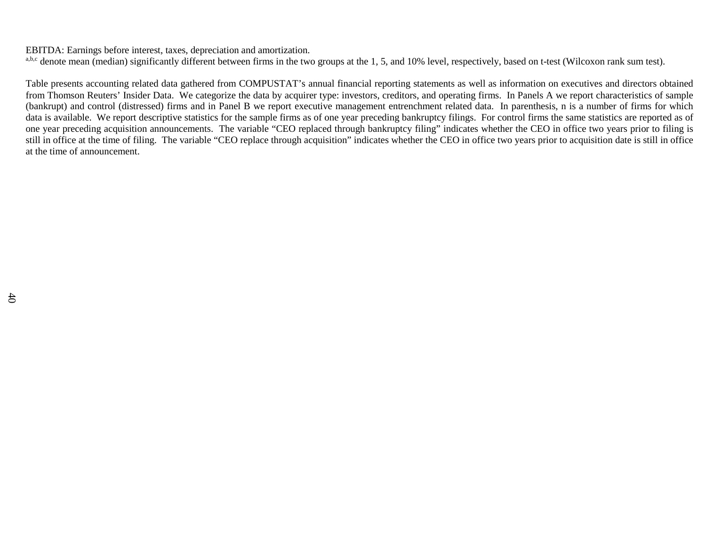EBITDA: Earnings before interest, taxes, depreciation and amortization.

a,b,c denote mean (median) significantly different between firms in the two groups at the 1, 5, and 10% level, respectively, based on t-test (Wilcoxon rank sum test).

Table presents accounting related data gathered from COMPUSTAT's annual financial reporting statements as well as information on executives and directors obtained from Thomson Reuters' Insider Data. We categorize the data by acquirer type: investors, creditors, and operating firms. In Panels A we report characteristics of sample (bankrupt) and control (distressed) firms and in Panel B we report executive management entrenchment related data. In parenthesis, n is a number of firms for which data is available. We report descriptive statistics for the sample firms as of one year preceding bankruptcy filings. For control firms the same statistics are reported as of one year preceding acquisition announcements. The variable "CEO replaced through bankruptcy filing" indicates whether the CEO in office two years prior to filing is still in office at the time of filing. The variable "CEO replace through acquisition" indicates whether the CEO in office two years prior to acquisition date is still in office at the time of announcement.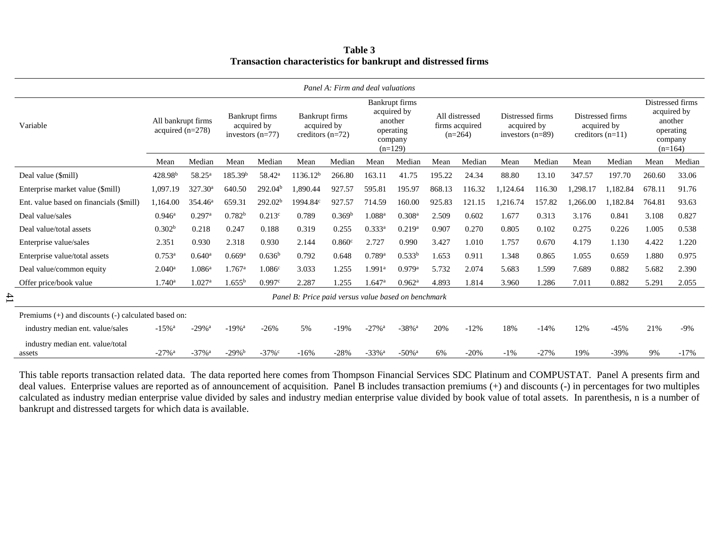|                                                     |                                          |                      |                      |                                                     |                                                     | Panel A: Firm and deal valuations |                      |                                                                               |        |                                               |                                                       |        |          |                                                       |        |                                                                                 |
|-----------------------------------------------------|------------------------------------------|----------------------|----------------------|-----------------------------------------------------|-----------------------------------------------------|-----------------------------------|----------------------|-------------------------------------------------------------------------------|--------|-----------------------------------------------|-------------------------------------------------------|--------|----------|-------------------------------------------------------|--------|---------------------------------------------------------------------------------|
| Variable                                            | All bankrupt firms<br>acquired $(n=278)$ |                      |                      | Bankrupt firms<br>acquired by<br>investors $(n=77)$ | Bankrupt firms<br>acquired by<br>creditors $(n=72)$ |                                   |                      | Bankrupt firms<br>acquired by<br>another<br>operating<br>company<br>$(n=129)$ |        | All distressed<br>firms acquired<br>$(n=264)$ | Distressed firms<br>acquired by<br>investors $(n=89)$ |        |          | Distressed firms<br>acquired by<br>creditors $(n=11)$ |        | Distressed firms<br>acquired by<br>another<br>operating<br>company<br>$(n=164)$ |
|                                                     | Mean                                     | Median               | Mean                 | Median                                              | Mean                                                | Median                            | Mean                 | Median                                                                        | Mean   | Median                                        | Mean                                                  | Median | Mean     | Median                                                | Mean   | Median                                                                          |
| Deal value (\$mill)                                 | $428.98^{b}$                             | 58.25 <sup>a</sup>   | 185.39 <sup>b</sup>  | 58.42 <sup>a</sup>                                  | 1136.12 <sup>b</sup>                                | 266.80                            | 163.11               | 41.75                                                                         | 195.22 | 24.34                                         | 88.80                                                 | 13.10  | 347.57   | 197.70                                                | 260.60 | 33.06                                                                           |
| Enterprise market value (\$mill)                    | 1,097.19                                 | 327.30 <sup>a</sup>  | 640.50               | 292.04 <sup>b</sup>                                 | 1,890.44                                            | 927.57                            | 595.81               | 195.97                                                                        | 868.13 | 116.32                                        | 1.124.64                                              | 116.30 | 1,298.17 | 1.182.84                                              | 678.11 | 91.76                                                                           |
| Ent. value based on financials (\$mill)             | 1,164.00                                 | $354.46^a$           | 659.31               | 292.02 <sup>b</sup>                                 | 1994.84 <sup>c</sup>                                | 927.57                            | 714.59               | 160.00                                                                        | 925.83 | 121.15                                        | 1,216.74                                              | 157.82 | 1,266.00 | 1,182.84                                              | 764.81 | 93.63                                                                           |
| Deal value/sales                                    | $0.946^{\rm a}$                          | $0.297$ <sup>a</sup> | 0.782 <sup>b</sup>   | 0.213c                                              | 0.789                                               | 0.369 <sup>b</sup>                | $1.088^{a}$          | 0.308 <sup>a</sup>                                                            | 2.509  | 0.602                                         | 1.677                                                 | 0.313  | 3.176    | 0.841                                                 | 3.108  | 0.827                                                                           |
| Deal value/total assets                             | 0.302 <sup>b</sup>                       | 0.218                | 0.247                | 0.188                                               | 0.319                                               | 0.255                             | $0.333^{a}$          | $0.219^{a}$                                                                   | 0.907  | 0.270                                         | 0.805                                                 | 0.102  | 0.275    | 0.226                                                 | 1.005  | 0.538                                                                           |
| Enterprise value/sales                              | 2.351                                    | 0.930                | 2.318                | 0.930                                               | 2.144                                               | 0.860c                            | 2.727                | 0.990                                                                         | 3.427  | 1.010                                         | 1.757                                                 | 0.670  | 4.179    | 1.130                                                 | 4.422  | 1.220                                                                           |
| Enterprise value/total assets                       | $0.753^a$                                | $0.640$ <sup>a</sup> | 0.669a               | $0.636^b$                                           | 0.792                                               | 0.648                             | 0.789a               | 0.533 <sup>b</sup>                                                            | 1.653  | 0.911                                         | 1.348                                                 | 0.865  | 1.055    | 0.659                                                 | 1.880  | 0.975                                                                           |
| Deal value/common equity                            | $2.040$ <sup>a</sup>                     | $1.086^a$            | $1.767$ <sup>a</sup> | 1.086c                                              | 3.033                                               | 1.255                             | $1.991$ <sup>a</sup> | 0.979a                                                                        | 5.732  | 2.074                                         | 5.683                                                 | 1.599  | 7.689    | 0.882                                                 | 5.682  | 2.390                                                                           |
| Offer price/book value                              | $1.740^{\circ}$                          | 1.027 <sup>a</sup>   | $1.655^{\rm b}$      | 0.997c                                              | 2.287                                               | 1.255                             | $1.647$ <sup>a</sup> | 0.962 <sup>a</sup>                                                            | 4.893  | 1.814                                         | 3.960                                                 | 1.286  | 7.011    | 0.882                                                 | 5.291  | 2.055                                                                           |
| $\pm$                                               |                                          |                      |                      |                                                     | Panel B: Price paid versus value based on benchmark |                                   |                      |                                                                               |        |                                               |                                                       |        |          |                                                       |        |                                                                                 |
| Premiums (+) and discounts (-) calculated based on: |                                          |                      |                      |                                                     |                                                     |                                   |                      |                                                                               |        |                                               |                                                       |        |          |                                                       |        |                                                                                 |
| industry median ent. value/sales                    | $-15%$ <sup>a</sup>                      | $-29%$ <sup>a</sup>  | $-19%$ <sup>a</sup>  | $-26%$                                              | 5%                                                  | $-19%$                            | $-27%$ <sup>a</sup>  | $-38%$ <sup>a</sup>                                                           | 20%    | $-12%$                                        | 18%                                                   | $-14%$ | 12%      | $-45%$                                                | 21%    | $-9%$                                                                           |
| industry median ent. value/total<br>assets          | $-27%$ <sup>a</sup>                      | $-37%$ <sup>a</sup>  | $-29%$ <sup>b</sup>  | $-37%c$                                             | $-16%$                                              | $-28%$                            | $-33%$ <sup>a</sup>  | $-50\%$ <sup>a</sup>                                                          | 6%     | $-20%$                                        | $-1\%$                                                | $-27%$ | 19%      | $-39%$                                                | 9%     | $-17%$                                                                          |

**Table 3 Transaction characteristics for bankrupt and distressed firms**

This table reports transaction related data. The data reported here comes from Thompson Financial Services SDC Platinum and COMPUSTAT. Panel A presents firm and deal values. Enterprise values are reported as of announcement of acquisition. Panel B includes transaction premiums (+) and discounts (-) in percentages for two multiples calculated as industry median enterprise value divided by sales and industry median enterprise value divided by book value of total assets. In parenthesis, n is a number of bankrupt and distressed targets for which data is available.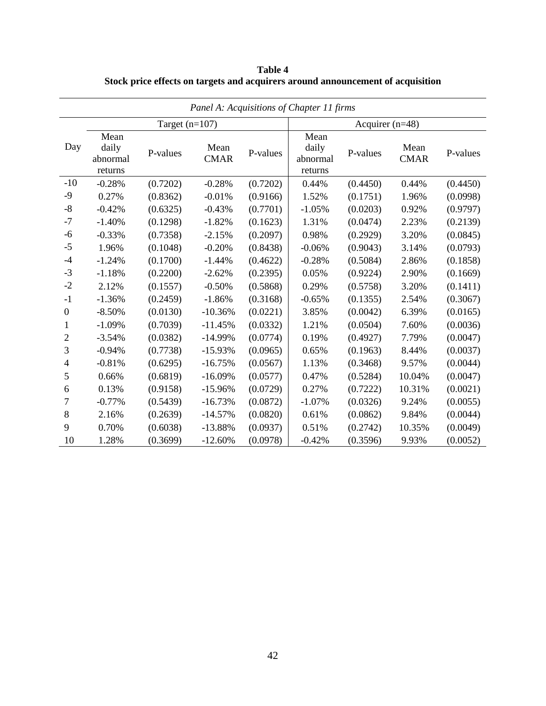|                  | Panel A: Acquisitions of Chapter 11 firms |                  |                     |          |                                      |                   |                     |          |  |  |
|------------------|-------------------------------------------|------------------|---------------------|----------|--------------------------------------|-------------------|---------------------|----------|--|--|
|                  |                                           | Target $(n=107)$ |                     |          |                                      | Acquirer $(n=48)$ |                     |          |  |  |
| Day              | Mean<br>daily<br>abnormal<br>returns      | P-values         | Mean<br><b>CMAR</b> | P-values | Mean<br>daily<br>abnormal<br>returns | P-values          | Mean<br><b>CMAR</b> | P-values |  |  |
| $-10$            | $-0.28%$                                  | (0.7202)         | $-0.28%$            | (0.7202) | 0.44%                                | (0.4450)          | 0.44%               | (0.4450) |  |  |
| $-9$             | 0.27%                                     | (0.8362)         | $-0.01%$            | (0.9166) | 1.52%                                | (0.1751)          | 1.96%               | (0.0998) |  |  |
| $-8$             | $-0.42%$                                  | (0.6325)         | $-0.43%$            | (0.7701) | $-1.05%$                             | (0.0203)          | 0.92%               | (0.9797) |  |  |
| $-7$             | $-1.40%$                                  | (0.1298)         | $-1.82%$            | (0.1623) | 1.31%                                | (0.0474)          | 2.23%               | (0.2139) |  |  |
| $-6$             | $-0.33%$                                  | (0.7358)         | $-2.15%$            | (0.2097) | 0.98%                                | (0.2929)          | 3.20%               | (0.0845) |  |  |
| $-5$             | 1.96%                                     | (0.1048)         | $-0.20%$            | (0.8438) | $-0.06%$                             | (0.9043)          | 3.14%               | (0.0793) |  |  |
| $-4$             | $-1.24%$                                  | (0.1700)         | $-1.44%$            | (0.4622) | $-0.28%$                             | (0.5084)          | 2.86%               | (0.1858) |  |  |
| $-3$             | $-1.18%$                                  | (0.2200)         | $-2.62%$            | (0.2395) | 0.05%                                | (0.9224)          | 2.90%               | (0.1669) |  |  |
| $-2$             | 2.12%                                     | (0.1557)         | $-0.50%$            | (0.5868) | 0.29%                                | (0.5758)          | 3.20%               | (0.1411) |  |  |
| $-1$             | $-1.36%$                                  | (0.2459)         | $-1.86%$            | (0.3168) | $-0.65%$                             | (0.1355)          | 2.54%               | (0.3067) |  |  |
| $\boldsymbol{0}$ | $-8.50%$                                  | (0.0130)         | $-10.36%$           | (0.0221) | 3.85%                                | (0.0042)          | 6.39%               | (0.0165) |  |  |
| 1                | $-1.09%$                                  | (0.7039)         | $-11.45%$           | (0.0332) | 1.21%                                | (0.0504)          | 7.60%               | (0.0036) |  |  |
| $\overline{2}$   | $-3.54%$                                  | (0.0382)         | $-14.99%$           | (0.0774) | 0.19%                                | (0.4927)          | 7.79%               | (0.0047) |  |  |
| 3                | $-0.94%$                                  | (0.7738)         | $-15.93%$           | (0.0965) | 0.65%                                | (0.1963)          | 8.44%               | (0.0037) |  |  |
| $\overline{4}$   | $-0.81%$                                  | (0.6295)         | $-16.75%$           | (0.0567) | 1.13%                                | (0.3468)          | 9.57%               | (0.0044) |  |  |
| 5                | 0.66%                                     | (0.6819)         | $-16.09%$           | (0.0577) | 0.47%                                | (0.5284)          | 10.04%              | (0.0047) |  |  |
| 6                | 0.13%                                     | (0.9158)         | $-15.96%$           | (0.0729) | 0.27%                                | (0.7222)          | 10.31%              | (0.0021) |  |  |
| 7                | $-0.77%$                                  | (0.5439)         | $-16.73%$           | (0.0872) | $-1.07%$                             | (0.0326)          | 9.24%               | (0.0055) |  |  |
| 8                | 2.16%                                     | (0.2639)         | $-14.57%$           | (0.0820) | 0.61%                                | (0.0862)          | 9.84%               | (0.0044) |  |  |
| 9                | 0.70%                                     | (0.6038)         | $-13.88%$           | (0.0937) | 0.51%                                | (0.2742)          | 10.35%              | (0.0049) |  |  |
| 10               | 1.28%                                     | (0.3699)         | $-12.60%$           | (0.0978) | $-0.42%$                             | (0.3596)          | 9.93%               | (0.0052) |  |  |

**Table 4 Stock price effects on targets and acquirers around announcement of acquisition**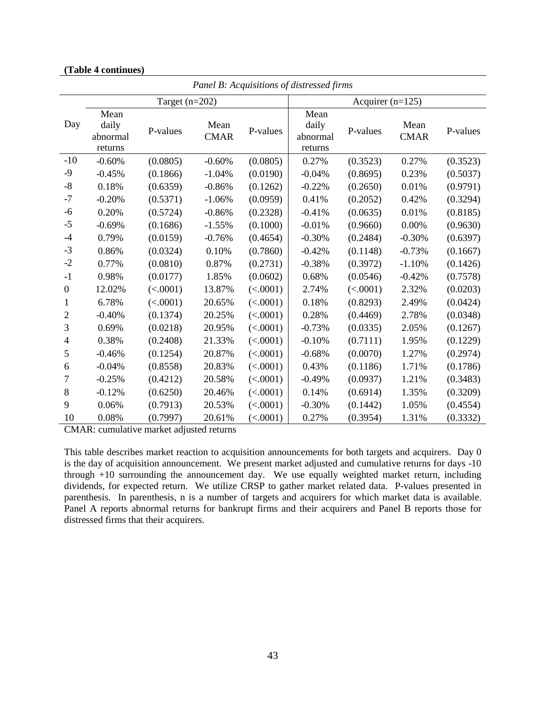| Panel B: Acquisitions of distressed firms |                                      |                  |                     |          |                                      |                    |                     |          |
|-------------------------------------------|--------------------------------------|------------------|---------------------|----------|--------------------------------------|--------------------|---------------------|----------|
|                                           |                                      | Target $(n=202)$ |                     |          |                                      | Acquirer $(n=125)$ |                     |          |
| Day                                       | Mean<br>daily<br>abnormal<br>returns | P-values         | Mean<br><b>CMAR</b> | P-values | Mean<br>daily<br>abnormal<br>returns | P-values           | Mean<br><b>CMAR</b> | P-values |
| $-10$                                     | $-0.60%$                             | (0.0805)         | $-0.60%$            | (0.0805) | 0.27%                                | (0.3523)           | 0.27%               | (0.3523) |
| $-9$                                      | $-0.45%$                             | (0.1866)         | $-1.04%$            | (0.0190) | $-0.04%$                             | (0.8695)           | 0.23%               | (0.5037) |
| $-8$                                      | 0.18%                                | (0.6359)         | $-0.86%$            | (0.1262) | $-0.22%$                             | (0.2650)           | 0.01%               | (0.9791) |
| $-7$                                      | $-0.20%$                             | (0.5371)         | $-1.06%$            | (0.0959) | 0.41%                                | (0.2052)           | 0.42%               | (0.3294) |
| $-6$                                      | 0.20%                                | (0.5724)         | $-0.86%$            | (0.2328) | $-0.41%$                             | (0.0635)           | 0.01%               | (0.8185) |
| $-5$                                      | $-0.69%$                             | (0.1686)         | $-1.55%$            | (0.1000) | $-0.01%$                             | (0.9660)           | 0.00%               | (0.9630) |
| $-4$                                      | 0.79%                                | (0.0159)         | $-0.76%$            | (0.4654) | $-0.30%$                             | (0.2484)           | $-0.30%$            | (0.6397) |
| $-3$                                      | 0.86%                                | (0.0324)         | 0.10%               | (0.7860) | $-0.42%$                             | (0.1148)           | $-0.73%$            | (0.1667) |
| $-2$                                      | 0.77%                                | (0.0810)         | 0.87%               | (0.2731) | $-0.38%$                             | (0.3972)           | $-1.10%$            | (0.1426) |
| $-1$                                      | 0.98%                                | (0.0177)         | 1.85%               | (0.0602) | 0.68%                                | (0.0546)           | $-0.42%$            | (0.7578) |
| $\boldsymbol{0}$                          | 12.02%                               | (<.0001)         | 13.87%              | (<.0001) | 2.74%                                | (<.0001)           | 2.32%               | (0.0203) |
| 1                                         | 6.78%                                | (<.0001)         | 20.65%              | (<.0001) | 0.18%                                | (0.8293)           | 2.49%               | (0.0424) |
| $\overline{2}$                            | $-0.40%$                             | (0.1374)         | 20.25%              | (<.0001) | 0.28%                                | (0.4469)           | 2.78%               | (0.0348) |
| 3                                         | 0.69%                                | (0.0218)         | 20.95%              | (<.0001) | $-0.73%$                             | (0.0335)           | 2.05%               | (0.1267) |
| $\overline{4}$                            | 0.38%                                | (0.2408)         | 21.33%              | (<.0001) | $-0.10%$                             | (0.7111)           | 1.95%               | (0.1229) |
| 5                                         | $-0.46%$                             | (0.1254)         | 20.87%              | (<.0001) | $-0.68%$                             | (0.0070)           | 1.27%               | (0.2974) |
| 6                                         | $-0.04%$                             | (0.8558)         | 20.83%              | (<.0001) | 0.43%                                | (0.1186)           | 1.71%               | (0.1786) |
| 7                                         | $-0.25%$                             | (0.4212)         | 20.58%              | (<.0001) | $-0.49%$                             | (0.0937)           | 1.21%               | (0.3483) |
| 8                                         | $-0.12%$                             | (0.6250)         | 20.46%              | (<.0001) | 0.14%                                | (0.6914)           | 1.35%               | (0.3209) |
| 9                                         | 0.06%                                | (0.7913)         | 20.53%              | (<.0001) | $-0.30%$                             | (0.1442)           | 1.05%               | (0.4554) |
| 10                                        | 0.08%                                | (0.7997)         | 20.61%              | (<.0001) | 0.27%                                | (0.3954)           | 1.31%               | (0.3332) |

## **(Table 4 continues)**

CMAR: cumulative market adjusted returns

This table describes market reaction to acquisition announcements for both targets and acquirers. Day 0 is the day of acquisition announcement. We present market adjusted and cumulative returns for days -10 through +10 surrounding the announcement day. We use equally weighted market return, including dividends, for expected return. We utilize CRSP to gather market related data. P-values presented in parenthesis. In parenthesis, n is a number of targets and acquirers for which market data is available. Panel A reports abnormal returns for bankrupt firms and their acquirers and Panel B reports those for distressed firms that their acquirers.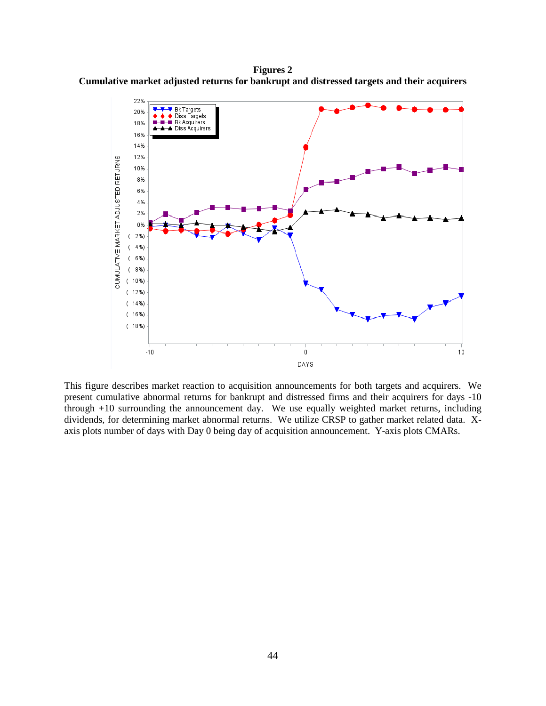**Figures 2 Cumulative market adjusted returns for bankrupt and distressed targets and their acquirers**



This figure describes market reaction to acquisition announcements for both targets and acquirers. We present cumulative abnormal returns for bankrupt and distressed firms and their acquirers for days -10 through +10 surrounding the announcement day. We use equally weighted market returns, including dividends, for determining market abnormal returns. We utilize CRSP to gather market related data. Xaxis plots number of days with Day 0 being day of acquisition announcement. Y-axis plots CMARs.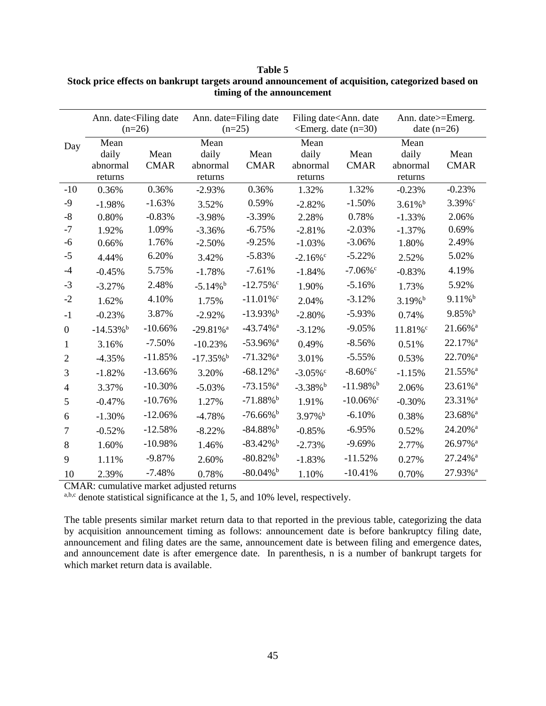|                | Ann. date <filing date<br=""><math>(n=26)</math></filing> |                     | Ann. date=Filing date<br>$(n=25)$    |                         |                                      | Filing date <ann. date<br=""><math>\leq</math>Emerg. date (n=30)</ann.> | Ann. date>=Emerg.<br>date $(n=26)$   |                       |
|----------------|-----------------------------------------------------------|---------------------|--------------------------------------|-------------------------|--------------------------------------|-------------------------------------------------------------------------|--------------------------------------|-----------------------|
| Day            | Mean<br>daily<br>abnormal<br>returns                      | Mean<br><b>CMAR</b> | Mean<br>daily<br>abnormal<br>returns | Mean<br><b>CMAR</b>     | Mean<br>daily<br>abnormal<br>returns | Mean<br><b>CMAR</b>                                                     | Mean<br>daily<br>abnormal<br>returns | Mean<br><b>CMAR</b>   |
| $-10$          | 0.36%                                                     | 0.36%               | $-2.93%$                             | 0.36%                   | 1.32%                                | 1.32%                                                                   | $-0.23%$                             | $-0.23%$              |
| $-9$           | $-1.98%$                                                  | $-1.63%$            | 3.52%                                | 0.59%                   | $-2.82%$                             | $-1.50%$                                                                | $3.61\%$ <sup>b</sup>                | 3.39%c                |
| $-8$           | 0.80%                                                     | $-0.83%$            | $-3.98%$                             | $-3.39%$                | 2.28%                                | 0.78%                                                                   | $-1.33%$                             | 2.06%                 |
| $-7$           | 1.92%                                                     | 1.09%               | $-3.36%$                             | $-6.75%$                | $-2.81%$                             | $-2.03%$                                                                | $-1.37%$                             | 0.69%                 |
| $-6$           | 0.66%                                                     | 1.76%               | $-2.50%$                             | $-9.25%$                | $-1.03%$                             | $-3.06%$                                                                | 1.80%                                | 2.49%                 |
| $-5$           | 4.44%                                                     | 6.20%               | 3.42%                                | $-5.83%$                | $-2.16\%$ <sup>c</sup>               | $-5.22%$                                                                | 2.52%                                | 5.02%                 |
| $-4$           | $-0.45%$                                                  | 5.75%               | $-1.78%$                             | $-7.61%$                | $-1.84%$                             | $-7.06\%$ <sup>c</sup>                                                  | $-0.83%$                             | 4.19%                 |
| $-3$           | $-3.27%$                                                  | 2.48%               | $-5.14\%$ <sup>b</sup>               | $-12.75%$               | 1.90%                                | $-5.16%$                                                                | 1.73%                                | 5.92%                 |
| $-2$           | 1.62%                                                     | 4.10%               | 1.75%                                | $-11.01\%$ <sup>c</sup> | 2.04%                                | $-3.12%$                                                                | $3.19\%$ <sup>b</sup>                | $9.11\%$ <sup>b</sup> |
| $-1$           | $-0.23%$                                                  | 3.87%               | $-2.92%$                             | $-13.93\%$ <sup>b</sup> | $-2.80%$                             | $-5.93%$                                                                | 0.74%                                | $9.85\%$ <sup>b</sup> |
| $\overline{0}$ | $-14.53\%$ <sup>b</sup>                                   | $-10.66%$           | $-29.81\%$ <sup>a</sup>              | $-43.74\%$ <sup>a</sup> | $-3.12%$                             | $-9.05%$                                                                | $11.81\%$ <sup>c</sup>               | 21.66% <sup>a</sup>   |
| 1              | 3.16%                                                     | $-7.50%$            | $-10.23%$                            | $-53.96\%$ <sup>a</sup> | 0.49%                                | $-8.56%$                                                                | 0.51%                                | 22.17% <sup>a</sup>   |
| $\overline{2}$ | $-4.35%$                                                  | $-11.85%$           | $-17.35\%$ <sup>b</sup>              | $-71.32\%$ <sup>a</sup> | 3.01%                                | $-5.55%$                                                                | 0.53%                                | 22.70% <sup>a</sup>   |
| 3              | $-1.82%$                                                  | $-13.66%$           | 3.20%                                | $-68.12\%$ <sup>a</sup> | $-3.05\%$                            | $-8.60\%$                                                               | $-1.15%$                             | 21.55% <sup>a</sup>   |
| $\overline{4}$ | 3.37%                                                     | $-10.30%$           | $-5.03%$                             | $-73.15%$ <sup>a</sup>  | $-3.38\%$ <sup>b</sup>               | $-11.98%$ <sup>b</sup>                                                  | 2.06%                                | 23.61% <sup>a</sup>   |
| 5              | $-0.47%$                                                  | $-10.76%$           | 1.27%                                | $-71.88\%$ <sup>b</sup> | 1.91%                                | $-10.06\%$ <sup>c</sup>                                                 | $-0.30%$                             | 23.31% <sup>a</sup>   |
| 6              | $-1.30%$                                                  | $-12.06%$           | $-4.78%$                             | $-76.66\%$              | 3.97% <sup>b</sup>                   | $-6.10%$                                                                | 0.38%                                | 23.68% <sup>a</sup>   |
| $\overline{7}$ | $-0.52%$                                                  | $-12.58%$           | $-8.22%$                             | $-84.88\%$ <sup>b</sup> | $-0.85%$                             | $-6.95%$                                                                | 0.52%                                | 24.20% <sup>a</sup>   |
| 8              | 1.60%                                                     | $-10.98%$           | 1.46%                                | $-83.42\%$ <sup>b</sup> | $-2.73%$                             | $-9.69%$                                                                | 2.77%                                | 26.97% <sup>a</sup>   |
| 9              | 1.11%                                                     | $-9.87%$            | 2.60%                                | $-80.82\%$ <sup>b</sup> | $-1.83%$                             | $-11.52%$                                                               | 0.27%                                | 27.24% <sup>a</sup>   |
| 10             | 2.39%                                                     | $-7.48%$            | 0.78%                                | $-80.04\%$ <sup>b</sup> | 1.10%                                | $-10.41%$                                                               | 0.70%                                | 27.93% <sup>a</sup>   |

**Table 5 Stock price effects on bankrupt targets around announcement of acquisition, categorized based on timing of the announcement**

CMAR: cumulative market adjusted returns

 $a,b,c$  denote statistical significance at the 1, 5, and 10% level, respectively.

The table presents similar market return data to that reported in the previous table, categorizing the data by acquisition announcement timing as follows: announcement date is before bankruptcy filing date, announcement and filing dates are the same, announcement date is between filing and emergence dates, and announcement date is after emergence date. In parenthesis, n is a number of bankrupt targets for which market return data is available.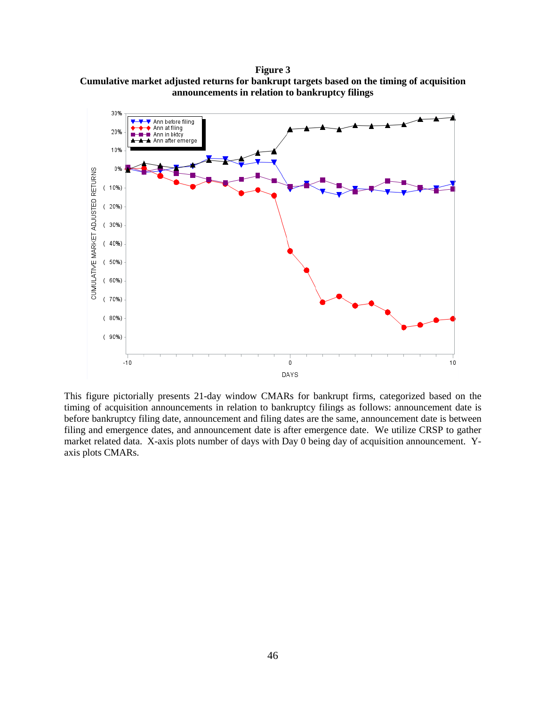**Figure 3 Cumulative market adjusted returns for bankrupt targets based on the timing of acquisition announcements in relation to bankruptcy filings**



This figure pictorially presents 21-day window CMARs for bankrupt firms, categorized based on the timing of acquisition announcements in relation to bankruptcy filings as follows: announcement date is before bankruptcy filing date, announcement and filing dates are the same, announcement date is between filing and emergence dates, and announcement date is after emergence date. We utilize CRSP to gather market related data. X-axis plots number of days with Day 0 being day of acquisition announcement. Yaxis plots CMARs.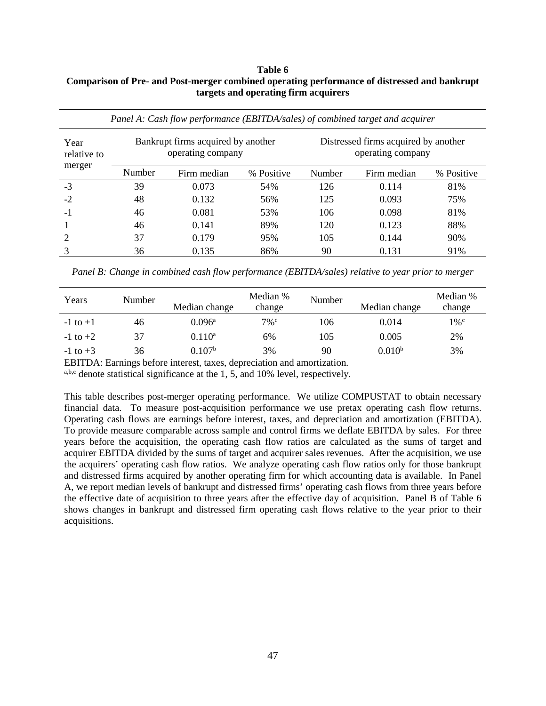# **Table 6 Comparison of Pre- and Post-merger combined operating performance of distressed and bankrupt targets and operating firm acquirers**

| Year<br>relative to |        | Bankrupt firms acquired by another<br>operating company |            | Distressed firms acquired by another<br>operating company |             |            |  |  |
|---------------------|--------|---------------------------------------------------------|------------|-----------------------------------------------------------|-------------|------------|--|--|
| merger              | Number | Firm median                                             | % Positive | Number                                                    | Firm median | % Positive |  |  |
| $-3$                | 39     | 0.073                                                   | 54%        | 126                                                       | 0.114       | 81%        |  |  |
| $-2$                | 48     | 0.132                                                   | 56%        | 125                                                       | 0.093       | 75%        |  |  |
| -1                  | 46     | 0.081                                                   | 53%        | 106                                                       | 0.098       | 81%        |  |  |
|                     | 46     | 0.141                                                   | 89%        | 120                                                       | 0.123       | 88%        |  |  |
|                     | 37     | 0.179                                                   | 95%        | 105                                                       | 0.144       | 90%        |  |  |
|                     | 36     | 0.135                                                   | 86%        | 90                                                        | 0.131       | 91%        |  |  |

*Panel A: Cash flow performance (EBITDA/sales) of combined target and acquirer*

*Panel B: Change in combined cash flow performance (EBITDA/sales) relative to year prior to merger*

| Years        | Number | Median change      | Median %<br>change | Number | Median change      | Median %<br>change |
|--------------|--------|--------------------|--------------------|--------|--------------------|--------------------|
| $-1$ to $+1$ | 46     | $0.096^{\rm a}$    | $7\%$ <sup>c</sup> | 106    | 0.014              | 1%°                |
| $-1$ to $+2$ | 37     | $0.110^{a}$        | 6%                 | 105    | 0.005              | 2%                 |
| $-1$ to $+3$ | 36     | 0.107 <sup>b</sup> | 3%                 | 90     | 0.010 <sup>b</sup> | 3%                 |

EBITDA: Earnings before interest, taxes, depreciation and amortization.

 $a,b,c$  denote statistical significance at the 1, 5, and 10% level, respectively.

This table describes post-merger operating performance. We utilize COMPUSTAT to obtain necessary financial data. To measure post-acquisition performance we use pretax operating cash flow returns. Operating cash flows are earnings before interest, taxes, and depreciation and amortization (EBITDA). To provide measure comparable across sample and control firms we deflate EBITDA by sales. For three years before the acquisition, the operating cash flow ratios are calculated as the sums of target and acquirer EBITDA divided by the sums of target and acquirer sales revenues. After the acquisition, we use the acquirers' operating cash flow ratios. We analyze operating cash flow ratios only for those bankrupt and distressed firms acquired by another operating firm for which accounting data is available. In Panel A, we report median levels of bankrupt and distressed firms' operating cash flows from three years before the effective date of acquisition to three years after the effective day of acquisition. Panel B of Table 6 shows changes in bankrupt and distressed firm operating cash flows relative to the year prior to their acquisitions.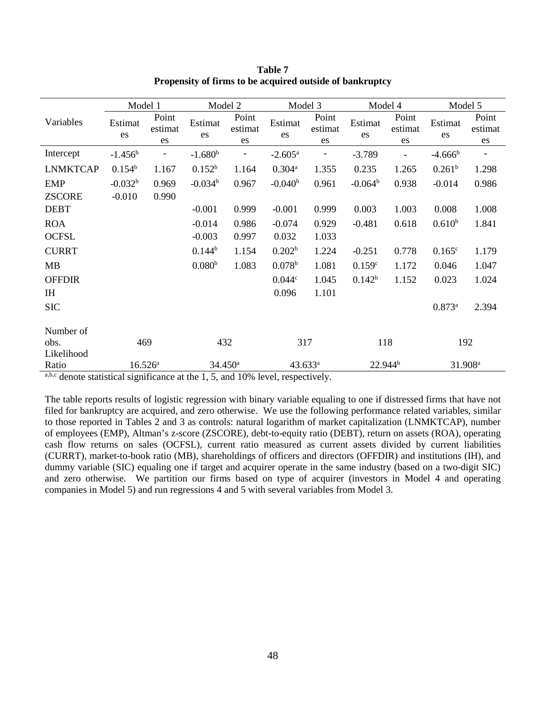|                 | Model 1          |                        | Model 2               |                        | Model 3             |                        | Model 4             |                        | Model 5             |                        |
|-----------------|------------------|------------------------|-----------------------|------------------------|---------------------|------------------------|---------------------|------------------------|---------------------|------------------------|
| Variables       | Estimat<br>es    | Point<br>estimat<br>es | Estimat<br>es         | Point<br>estimat<br>es | Estimat<br>es       | Point<br>estimat<br>es | Estimat<br>es       | Point<br>estimat<br>es | Estimat<br>es       | Point<br>estimat<br>es |
| Intercept       | $-1.456^b$       |                        | $-1.680b$             |                        | $-2.605^{\text{a}}$ |                        | $-3.789$            |                        | $-4.666b$           |                        |
| <b>LNMKTCAP</b> | $0.154^{b}$      | 1.167                  | 0.152 <sup>b</sup>    | 1.164                  | $0.304^{\rm a}$     | 1.355                  | 0.235               | 1.265                  | 0.261 <sup>b</sup>  | 1.298                  |
| <b>EMP</b>      | $-0.032b$        | 0.969                  | $-0.034b$             | 0.967                  | $-0.040b$           | 0.961                  | $-0.064b$           | 0.938                  | $-0.014$            | 0.986                  |
| <b>ZSCORE</b>   | $-0.010$         | 0.990                  |                       |                        |                     |                        |                     |                        |                     |                        |
| <b>DEBT</b>     |                  |                        | $-0.001$              | 0.999                  | $-0.001$            | 0.999                  | 0.003               | 1.003                  | 0.008               | 1.008                  |
| <b>ROA</b>      |                  |                        | $-0.014$              | 0.986                  | $-0.074$            | 0.929                  | $-0.481$            | 0.618                  | $0.610^{b}$         | 1.841                  |
| <b>OCFSL</b>    |                  |                        | $-0.003$              | 0.997                  | 0.032               | 1.033                  |                     |                        |                     |                        |
| <b>CURRT</b>    |                  |                        | $0.144^{b}$           | 1.154                  | 0.202 <sup>b</sup>  | 1.224                  | $-0.251$            | 0.778                  | $0.165^{\circ}$     | 1.179                  |
| MB              |                  |                        | 0.080 <sup>b</sup>    | 1.083                  | 0.078 <sup>b</sup>  | 1.081                  | 0.159c              | 1.172                  | 0.046               | 1.047                  |
| <b>OFFDIR</b>   |                  |                        |                       |                        | 0.044c              | 1.045                  | $0.142^b$           | 1.152                  | 0.023               | 1.024                  |
| I <sub>H</sub>  |                  |                        |                       |                        | 0.096               | 1.101                  |                     |                        |                     |                        |
| <b>SIC</b>      |                  |                        |                       |                        |                     |                        |                     |                        | $0.873^a$           | 2.394                  |
| Number of       |                  |                        |                       |                        |                     |                        |                     |                        |                     |                        |
| obs.            | 469              |                        | 432                   |                        | 317                 |                        | 118                 |                        | 192                 |                        |
| Likelihood      |                  |                        |                       |                        |                     |                        |                     |                        |                     |                        |
| Ratio           | $16.526^{\circ}$ |                        | $34.450$ <sup>a</sup> |                        | 43.633 <sup>a</sup> |                        | 22.944 <sup>b</sup> |                        | 31.908 <sup>a</sup> |                        |

**Table 7 Propensity of firms to be acquired outside of bankruptcy**

a,b,c denote statistical significance at the 1, 5, and 10% level, respectively.

The table reports results of logistic regression with binary variable equaling to one if distressed firms that have not filed for bankruptcy are acquired, and zero otherwise. We use the following performance related variables, similar to those reported in Tables 2 and 3 as controls: natural logarithm of market capitalization (LNMKTCAP), number of employees (EMP), Altman's z-score (ZSCORE), debt-to-equity ratio (DEBT), return on assets (ROA), operating cash flow returns on sales (OCFSL), current ratio measured as current assets divided by current liabilities (CURRT), market-to-book ratio (MB), shareholdings of officers and directors (OFFDIR) and institutions (IH), and dummy variable (SIC) equaling one if target and acquirer operate in the same industry (based on a two-digit SIC) and zero otherwise. We partition our firms based on type of acquirer (investors in Model 4 and operating companies in Model 5) and run regressions 4 and 5 with several variables from Model 3.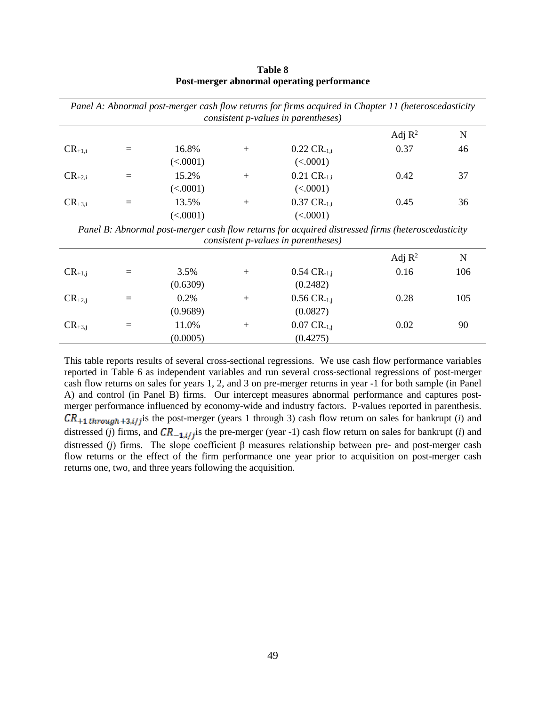|             |     |                   |     | Panel A: Abnormal post-merger cash flow returns for firms acquired in Chapter 11 (heteroscedasticity<br>consistent <i>p</i> -values in parentheses) |           |             |
|-------------|-----|-------------------|-----|-----------------------------------------------------------------------------------------------------------------------------------------------------|-----------|-------------|
|             |     |                   |     |                                                                                                                                                     | Adj $R^2$ | $\mathbf N$ |
| $CR_{+1,i}$ |     | 16.8%<br>(<.0001) | $+$ | $0.22 \, \text{CR}_{-1,i}$<br>(<.0001)                                                                                                              | 0.37      | 46          |
| $CR_{+2,i}$ | $=$ | 15.2%<br>(<.0001) | $+$ | $0.21 \text{ CR}_{1,i}$<br>(<.0001)                                                                                                                 | 0.42      | 37          |
| $CR_{+3,i}$ | $=$ | 13.5%<br>(<.0001) | $+$ | $0.37 \text{ CR}_{1,i}$<br>(<.0001)                                                                                                                 | 0.45      | 36          |
|             |     |                   |     | Panel B: Abnormal post-merger cash flow returns for acquired distressed firms (heteroscedasticity<br>consistent <i>p</i> -values in parentheses)    |           |             |
|             |     |                   |     |                                                                                                                                                     | Adj $R^2$ | N           |
| $CR_{+1,i}$ | $=$ | 3.5%<br>(0.6309)  | $+$ | $0.54 \, \text{CR}_{-1,i}$<br>(0.2482)                                                                                                              | 0.16      | 106         |
| $CR_{+2,i}$ |     | 0.2%<br>(0.9689)  | $+$ | $0.56$ CR <sub>-1,j</sub><br>(0.0827)                                                                                                               | 0.28      | 105         |
| $CR_{+3,i}$ |     | 11.0%<br>(0.0005) | $+$ | $0.07 \text{ CR}_{-1,i}$<br>(0.4275)                                                                                                                | 0.02      | 90          |

**Table 8 Post-merger abnormal operating performance**

This table reports results of several cross-sectional regressions. We use cash flow performance variables reported in Table 6 as independent variables and run several cross-sectional regressions of post-merger cash flow returns on sales for years 1, 2, and 3 on pre-merger returns in year -1 for both sample (in Panel A) and control (in Panel B) firms. Our intercept measures abnormal performance and captures postmerger performance influenced by economy-wide and industry factors. P-values reported in parenthesis.  $CR_{+1}$ through +3,i/j<sup>is</sup> the post-merger (years 1 through 3) cash flow return on sales for bankrupt (*i*) and distressed (*j*) firms, and  $\text{CR}_{-1,i}$  is the pre-merger (year -1) cash flow return on sales for bankrupt (*i*) and distressed (*j*) firms. The slope coefficient β measures relationship between pre- and post-merger cash flow returns or the effect of the firm performance one year prior to acquisition on post-merger cash returns one, two, and three years following the acquisition.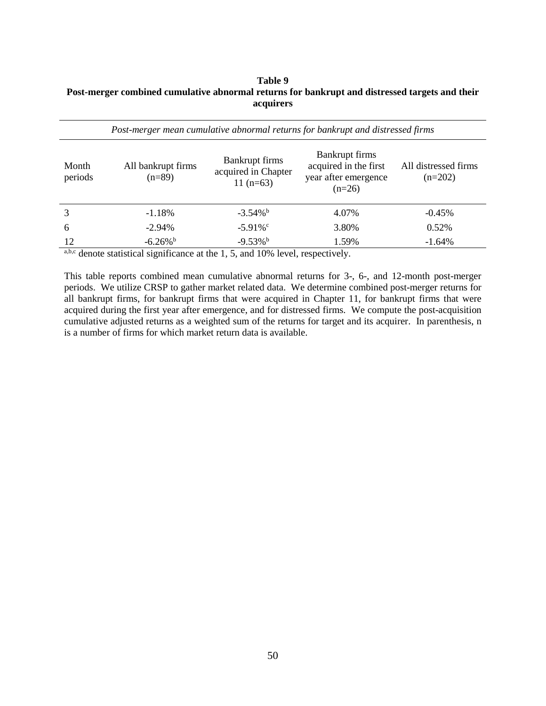# **Table 9 Post-merger combined cumulative abnormal returns for bankrupt and distressed targets and their acquirers**

| Post-merger mean cumulative abnormal returns for bankrupt and distressed firms |                                |                                                            |                                                                                    |                                   |  |  |  |  |  |
|--------------------------------------------------------------------------------|--------------------------------|------------------------------------------------------------|------------------------------------------------------------------------------------|-----------------------------------|--|--|--|--|--|
| Month<br>periods                                                               | All bankrupt firms<br>$(n=89)$ | <b>Bankrupt</b> firms<br>acquired in Chapter<br>$11(n=63)$ | <b>Bankrupt</b> firms<br>acquired in the first<br>year after emergence<br>$(n=26)$ | All distressed firms<br>$(n=202)$ |  |  |  |  |  |
| 3                                                                              | $-1.18%$                       | $-3.54\%$ <sup>b</sup>                                     | 4.07%                                                                              | $-0.45%$                          |  |  |  |  |  |
| 6                                                                              | $-2.94\%$                      | $-5.91\%$                                                  | 3.80%                                                                              | 0.52%                             |  |  |  |  |  |
| 12<br>$\sim$ $\sim$                                                            | $-6.26\%$ <sup>b</sup>         | $-9.53\%$ <sup>b</sup>                                     | 1.59%                                                                              | $-1.64%$                          |  |  |  |  |  |

a,b,c denote statistical significance at the 1, 5, and 10% level, respectively.

This table reports combined mean cumulative abnormal returns for 3-, 6-, and 12-month post-merger periods. We utilize CRSP to gather market related data. We determine combined post-merger returns for all bankrupt firms, for bankrupt firms that were acquired in Chapter 11, for bankrupt firms that were acquired during the first year after emergence, and for distressed firms. We compute the post-acquisition cumulative adjusted returns as a weighted sum of the returns for target and its acquirer. In parenthesis, n is a number of firms for which market return data is available.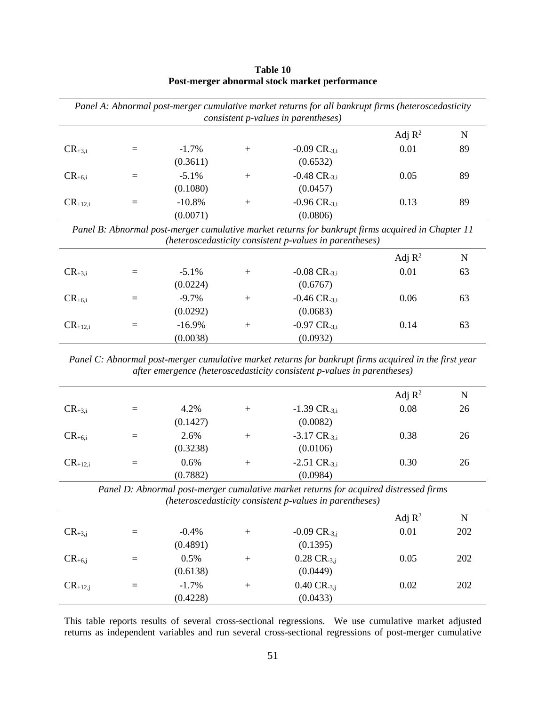| Panel A: Abnormal post-merger cumulative market returns for all bankrupt firms (heteroscedasticity<br>consistent p-values in parentheses)                    |  |                       |        |                                        |           |    |  |
|--------------------------------------------------------------------------------------------------------------------------------------------------------------|--|-----------------------|--------|----------------------------------------|-----------|----|--|
|                                                                                                                                                              |  |                       |        |                                        | Adj $R^2$ | N  |  |
| $CR_{+3,i}$                                                                                                                                                  |  | $-1.7\%$<br>(0.3611)  | $+$    | $-0.09 \text{ CR}_{-3,i}$<br>(0.6532)  | 0.01      | 89 |  |
| $CR_{+6,i}$                                                                                                                                                  |  | $-5.1\%$<br>(0.1080)  | $^{+}$ | $-0.48 \text{ CR}_{-3,i}$<br>(0.0457)  | 0.05      | 89 |  |
| $CR_{+12,i}$                                                                                                                                                 |  | $-10.8\%$<br>(0.0071) | $+$    | $-0.96$ CR <sub>-3.i</sub><br>(0.0806) | 0.13      | 89 |  |
| Panel B: Abnormal post-merger cumulative market returns for bankrupt firms acquired in Chapter 11<br>(heteroscedasticity consistent p-values in parentheses) |  |                       |        |                                        |           |    |  |

**Table 10 Post-merger abnormal stock market performance**

Adj  $R^2$  N  $CR_{+3,i}$  =  $-5.1\%$  +  $-0.08 \, CR_{-3,i}$  0.01 63  $(0.0224)$   $(0.6767)$  $CR_{+6,i}$  = -9.7% + -0.46  $CR_{-3,i}$  0.06 63  $(0.0292)$   $(0.0683)$  $CR_{+12,i}$  = -16.9% + -0.97 CR<sub>-3,i</sub> 0.14 63 (0.0038) (0.0932)

*Panel C: Abnormal post-merger cumulative market returns for bankrupt firms acquired in the first year after emergence (heteroscedasticity consistent p-values in parentheses)*

|              |          |          |        |                           | Adj $R^2$ | N  |
|--------------|----------|----------|--------|---------------------------|-----------|----|
| $CR_{+3,i}$  | $\equiv$ | 4.2%     | $+$    | $-1.39 \text{ CR}_{-3,i}$ | 0.08      | 26 |
|              |          | (0.1427) |        | (0.0082)                  |           |    |
| $CR_{+6,i}$  | $=$      | 2.6%     | $^{+}$ | $-3.17 \text{ CR}_{-3,i}$ | 0.38      | 26 |
|              |          | (0.3238) |        | (0.0106)                  |           |    |
| $CR_{+12,i}$ | $=$      | 0.6%     | $^{+}$ | $-2.51 \text{ CR}_{-3,i}$ | 0.30      | 26 |
|              |          | (0.7882) |        | (0.0984)                  |           |    |

*Panel D: Abnormal post-merger cumulative market returns for acquired distressed firms (heteroscedasticity consistent p-values in parentheses)*

|              |     |          |     |                           | Adj $R^2$ | N   |
|--------------|-----|----------|-----|---------------------------|-----------|-----|
| $CR_{+3,i}$  | $=$ | $-0.4%$  | $+$ | $-0.09 \text{ CR}_{-3,i}$ | 0.01      | 202 |
|              |     | (0.4891) |     | (0.1395)                  |           |     |
| $CR_{+6,i}$  | $=$ | 0.5%     | $+$ | $0.28 \text{ CR}_{-3,i}$  | 0.05      | 202 |
|              |     | (0.6138) |     | (0.0449)                  |           |     |
| $CR_{+12,i}$ | $=$ | $-1.7%$  | $+$ | $0.40 \text{ CR}_{-3,i}$  | 0.02      | 202 |
|              |     | (0.4228) |     | (0.0433)                  |           |     |

This table reports results of several cross-sectional regressions. We use cumulative market adjusted returns as independent variables and run several cross-sectional regressions of post-merger cumulative